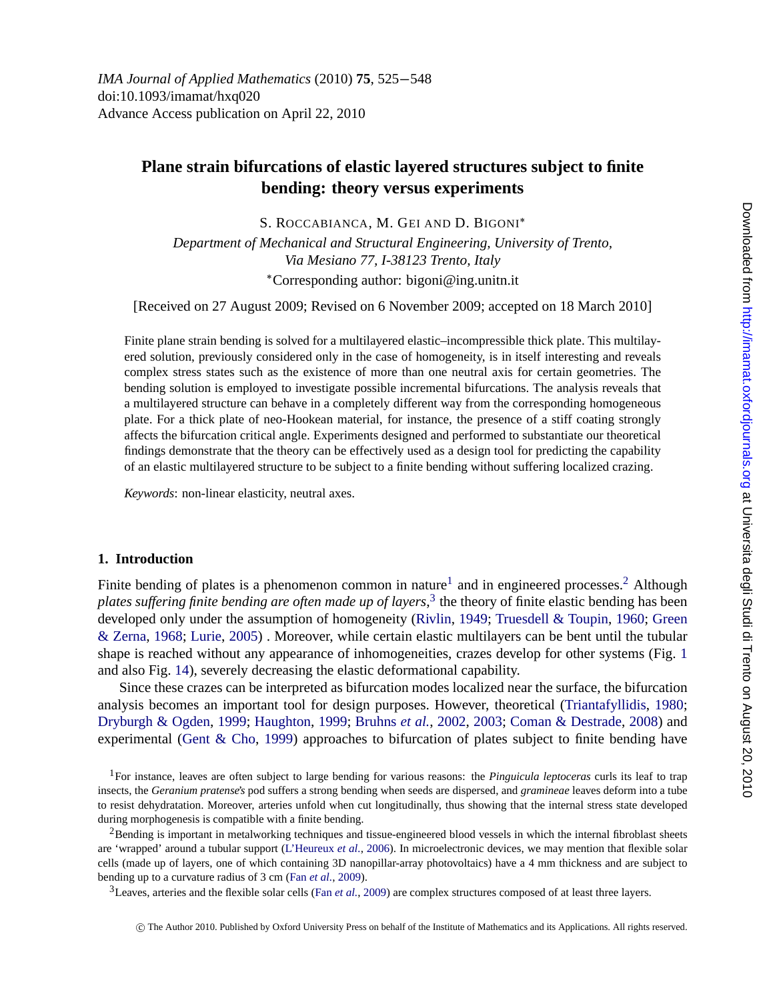*IMA Journal of Applied Mathematics* (2010) **75**, 525−548 doi:10.1093/imamat/hxq020 Advance Access publication on April 22, 2010

# **Plane strain bifurcations of elastic layered structures subject to finite bending: theory versus experiments**

S. ROCCABIANCA, M. GEI AND D. BIGONI∗

*Department of Mechanical and Structural Engineering, University of Trento, Via Mesiano 77, I-38123 Trento, Italy* ∗Corresponding author: bigoni@ing.unitn.it

[Received on 27 August 2009; Revised on 6 November 2009; accepted on 18 March 2010]

Finite plane strain bending is solved for a multilayered elastic–incompressible thick plate. This multilayered solution, previously considered only in the case of homogeneity, is in itself interesting and reveals complex stress states such as the existence of more than one neutral axis for certain geometries. The bending solution is employed to investigate possible incremental bifurcations. The analysis reveals that a multilayered structure can behave in a completely different way from the corresponding homogeneous plate. For a thick plate of neo-Hookean material, for instance, the presence of a stiff coating strongly affects the bifurcation critical angle. Experiments designed and performed to substantiate our theoretical findings demonstrate that the theory can be effectively used as a design tool for predicting the capability of an elastic multilayered structure to be subject to a finite bending without suffering localized crazing.

*[Keywords](#page-21-0)*: n[on-linear elast](#page-21-0)icity, neutral axes.

#### **1. Introduction**

[Finite bending of plates is](#page-21-0) [a phenomenon c](#page-21-0)o[mmon in nature](#page-20-0)<sup>1</sup> and [in e](#page-20-0)[ngineered processes.](#page-21-0)<sup>2</sup> [Alth](#page-21-0)ough *plates sufferin[g finite bending are](#page-21-0) often made up of layers*, <sup>3</sup> the theory of finite elastic bending has been developed only under the assumption of homogeneity (Rivlin, 1949; Truesdell & Toupin, 1960; Green & Zerna, 1968; Lurie, 2005) . Moreover, while certain elastic multilayers can be bent until the tubular shape is reached without any appearance of inhomogeneities, crazes develop for other systems (Fig. 1 and also Fig. 14), severely decreasing the elastic deformational capability.

Since these crazes can be interpreted as bifurcation modes localized near the surface, the bifurcation analysis becomes an important [tool](#page-21-0) [for](#page-21-0) [design](#page-21-0) [pur](#page-21-0)poses. However, theoretical (Triantafyllidis, 1980; Dryburgh & Ogden, 1999; Haughton, 1999; Bruhns *et al.*, 2002, 2003; Coman & Destrade, 2008) and experimental (Gent & Cho, 199[9\) approache](#page-21-0)s to bifurcation of plates subject to finite bending have

1For instance, leaves are often subject to large bending for various reasons: the *Pinguicula leptoceras* curls its leaf to trap insects, the *Geranium pratense's* pod suffers a strong bending when seeds are dispersed, and *gramineae* leaves deform into a tube to resist dehydratation. Moreover, arteries unfold when cut longitudinally, thus showing that the internal stress state developed during morphogenesis is compatible with a finite bending.

<sup>2</sup>Bending is important in metalworking techniques and tissue-engineered blood vessels in which the internal fibroblast sheets are 'wrapped' around a tubular support (L'Heureux *et al.*, 2006). In microelectronic devices, we may mention that flexible solar cells (made up of layers, one of which containing 3D nanopillar-array photovoltaics) have a 4 mm thickness and are subject to bending up to a curvature radius of 3 cm (Fan *et al.*, 2009).

3Leaves, arteries and the flexible solar cells (Fan *et al.*, 2009) are complex structures composed of at least three layers.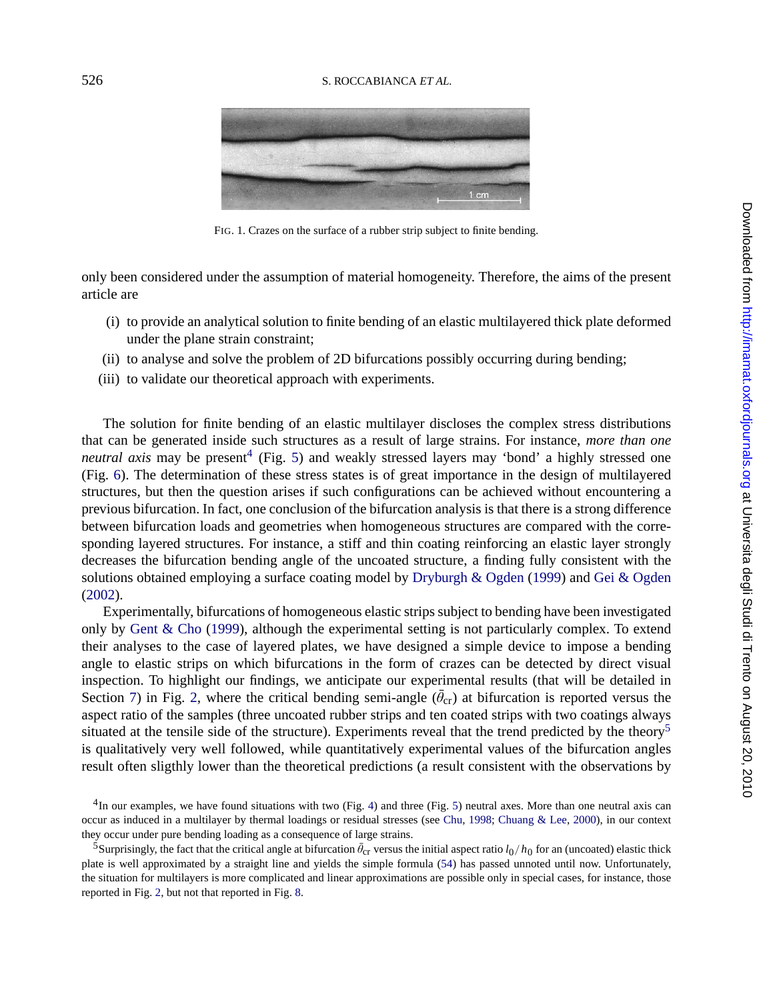

FIG. 1. Crazes on the surface of a rubber strip subject to finite bending.

only been considered under the assumption of material homogeneity. Therefore, the aims of the present article are

- (i) to provide an analytical solut[io](#page-9-0)n to finite bending of an elastic multilayered thick plate deformed under the plane strain constraint;
- (ii) to analyse and solve the problem of 2D bifurcations possibly occurring during bending;
- (iii) to validate our theoretical approach with experiments.

The solution for finite bending of an elastic multilayer discloses the complex stress distributions that can be generated inside such structures as a result [of large strains. For](#page-21-0) [instan](#page-21-0)ce, *[more than one](#page-21-0) [neutra](#page-21-0)l axis* may be present<sup>4</sup> (Fig. 5) and weakly stressed layers may 'bond' a highly stressed one (Fig. 6). The determination of these stress states is of great importance in the design of multilayered structur[es, but then the que](#page-21-0)stion arises if such configurations can be achieved without encountering a previous bifurcation. In fact, one conclusion of the bifurcation analysis is that there is a strong difference between bifurcation loads and geometries when homogeneous structures are compared with the corresponding layered structures. For instance, a stiff and thin coating reinforcing an elastic layer strongly decreas[es](#page-18-0) the bifu[rca](#page-2-0)tion bending angle of the uncoated structure, a finding fully consistent with the solutions obtained employing a surface coating model by Dryburgh & Ogden (1999) and Gei & Ogden (2002).

Experimentally, bifurcations of homogeneous elastic strips subject to bending have been investigated only by Gent  $\&$  Cho (1999), although the experimental setting is not particularly complex. To extend their analyses to the case of layered plates, we have designed a simple device to impose a bending angle to elastic strips on which bifurcations in [th](#page-8-0)e form of cr[az](#page-9-0)es can be detected by direct visual inspection. To highlight our findings, we anticipate our exper[imental r](#page-20-0)[esults \(that will b](#page-21-0)e detailed in Section 7) in Fig. 2, where the critical bending semi-angle  $(\theta_{cr})$  at bifurcation is reported versus the aspect ratio of the samples (three uncoated rubber strips and ten coated strips with two coatings always situated at the tensile side of the structure). Experiments reve[al](#page-18-0) [t](#page-18-0)hat the trend predicted by the theory<sup>5</sup> is qualitativ[ely](#page-2-0) very well followed, [wh](#page-15-0)ile quantitatively experimental values of the bifurcation angles result often sligthly lower than the theoretical predictions (a result consistent with the observations by

<sup>4</sup>In our examples, we have found situations with two (Fig. 4) and three (Fig. 5) neutral axes. More than one neutral axis can occur as induced in a multilayer by thermal loadings or residual stresses (see Chu, 1998; Chuang & Lee, 2000), in our context they occur under pure bending loading as a consequence of large strains.

<sup>&</sup>lt;sup>5</sup>Surprisingly, the fact that the critical angle at bifurcation  $\bar{\theta}_{cr}$  versus the initial aspect ratio  $l_0/h_0$  for an (uncoated) elastic thick plate is well approximated by a straight line and yields the simple formula (54) has passed unnoted until now. Unfortunately, the situation for multilayers is more complicated and linear approximations are possible only in special cases, for instance, those reported in Fig. 2, but not that reported in Fig. 8.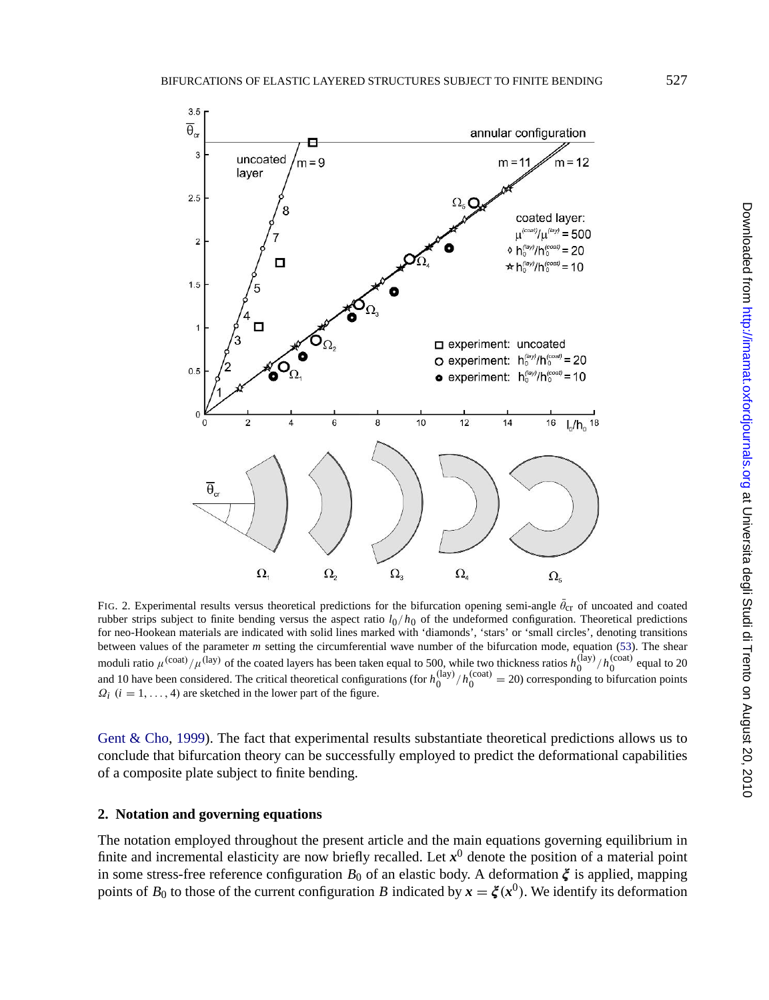<span id="page-2-0"></span>

[FIG. 2. Experimental re](#page-21-0)sults versus theoretical predictions for the bifurcation opening semi-angle  $\theta_{cr}$  of uncoated and coated rubber strips subject to finite bending versus the aspect ratio  $l_0/h_0$  of the undeformed configuration. Theoretical predictions for neo-Hookean materials are indicated with solid lines marked with 'diamonds', 'stars' or 'small circles', denoting transitions between values of the parameter *m* setting the circumferential wave number of the bifurcation mode, equation (53). The shear moduli ratio  $\mu^{(\text{coat})}/\mu^{(\text{lay})}$  of the coated layers has been taken equal to 500, while two thickness ratios  $h_0^{(\text{lay})}/h_0^{(\text{coat})}$  equal to 20 and 10 have been considered. The critical theoretical configurations (for  $Q_i$  ( $i = 1, ..., 4$ ) are sketched in the lower part of the figure.

Gent & Cho, 1999). The fact that experimental results substantiate theoretical predictions allows us to conclude that bifurcation theory can be successfully employed to predict the deformational capabilities of a composite plate subject to finite bending.

# **2. Notation and governing equations**

The notation employed throughout the present article and the main equations governing equilibrium in finite and incremental elasticity are now briefly recalled. Let  $x^0$  denote the position of a material point in some stress-free reference configuration  $B_0$  of an elastic body. A deformation  $\xi$  is applied, mapping points of  $B_0$  to those of the current configuration *B* indicated by  $x = \xi(x^0)$ . We identify its deformation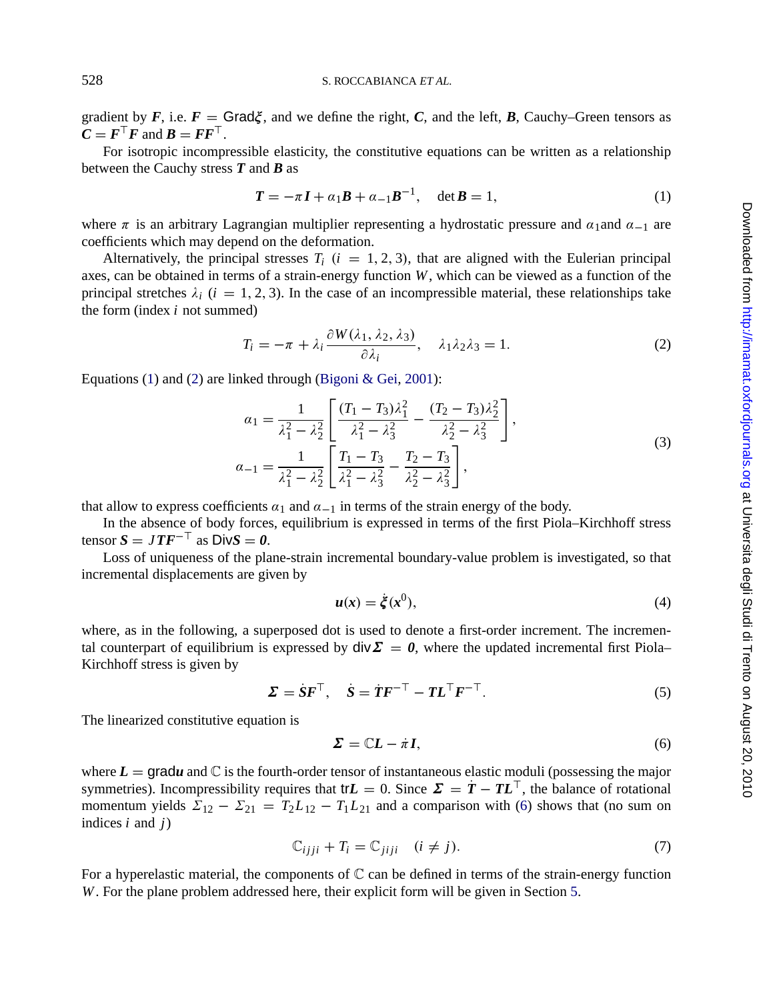gradient by  $F$ , i.e.  $F = \text{Grad}\xi$ , and we define the right, C, and the left, B, Cauchy–Green tensors as  $C = F^{\top}F$  and  $B = FF^{\top}$ .

For isotropic incompressible elasticity, the constitutive equations can be written as a relationship between the Cauchy stress *T* and *B* as

$$
T = -\pi I + a_1 B + a_{-1} B^{-1}, \quad \det B = 1,
$$
 (1)

where  $\pi$  is an arbitrary Lagrangian multiplier representing a hydrostatic pressure and  $\alpha_1$  and  $\alpha_{-1}$  are coefficients which may depend on the def[ormation.](#page-20-0)

Alternatively, the principal stresses  $T_i$  ( $i = 1, 2, 3$ ), that are aligned with the Eulerian principal axes, can be obtained in terms of a strain-energy function *W*, which can be viewed as a function of the principal stretches  $\lambda_i$  ( $i = 1, 2, 3$ ). In the case of an incompressible material, these relationships take the form (index *i* not summed)

$$
T_i = -\pi + \lambda_i \frac{\partial W(\lambda_1, \lambda_2, \lambda_3)}{\partial \lambda_i}, \quad \lambda_1 \lambda_2 \lambda_3 = 1. \tag{2}
$$

Equations (1) and (2) are linked through (Bigoni & Gei, 2001):

$$
\alpha_1 = \frac{1}{\lambda_1^2 - \lambda_2^2} \left[ \frac{(T_1 - T_3)\lambda_1^2}{\lambda_1^2 - \lambda_3^2} - \frac{(T_2 - T_3)\lambda_2^2}{\lambda_2^2 - \lambda_3^2} \right],
$$
  
\n
$$
\alpha_{-1} = \frac{1}{\lambda_1^2 - \lambda_2^2} \left[ \frac{T_1 - T_3}{\lambda_1^2 - \lambda_3^2} - \frac{T_2 - T_3}{\lambda_2^2 - \lambda_3^2} \right],
$$
\n(3)

that allow to express coefficients  $\alpha_1$  and  $\alpha_{-1}$  in terms of the strain energy of the body.

In the absence of body forces, equilibrium is expressed in terms of the first Piola–Kirchhoff stress  $t$ ensor  $S = JTF^{-\top}$  as  $DivS = 0$ .

Loss of uniqueness of the plane-strain incremental boundary-value problem is investigated, so that incremental displacements are given by

$$
u(x) = \dot{\xi}(x^0),\tag{4}
$$

where, as in the following, a superposed dot is used to denote a first-order increment. The incremental counterpart of equilibrium is expressed by  $\text{div}\Sigma = 0$ , where the updated incremental first Piola– Kirchhoff stress is given by

$$
\Sigma = \dot{S}F^{\top}, \quad \dot{S} = \dot{T}F^{-\top} - TL^{\top}F^{-\top}.
$$
 (5)

The linearized constitutive equation is

$$
\Sigma = \mathbb{C}L - \dot{\pi}I,\tag{6}
$$

where  $L = \text{grad}u$  and  $\mathbb C$  is the fourth-order tensor of instantaneous elastic moduli (possessing the major symmetries). Incompressibility requires that tr $L = 0$ . Since  $\Sigma = \dot{T} - T L^{\top}$ , the balance of rotational momentum yields  $\Sigma_{12} - \Sigma_{21} = T_2L_{12} - T_1L_{21}$  and a comparison with (6) shows that (no sum on indices *i* and *j*)

$$
\mathbb{C}_{ijji} + T_i = \mathbb{C}_{jiji} \quad (i \neq j). \tag{7}
$$

For a hyperelastic material, the components of  $\mathbb C$  can be defined in terms of the strain-energy function *W*. For the plane problem addressed here, their explicit form will be given in Section 5.

<span id="page-3-0"></span>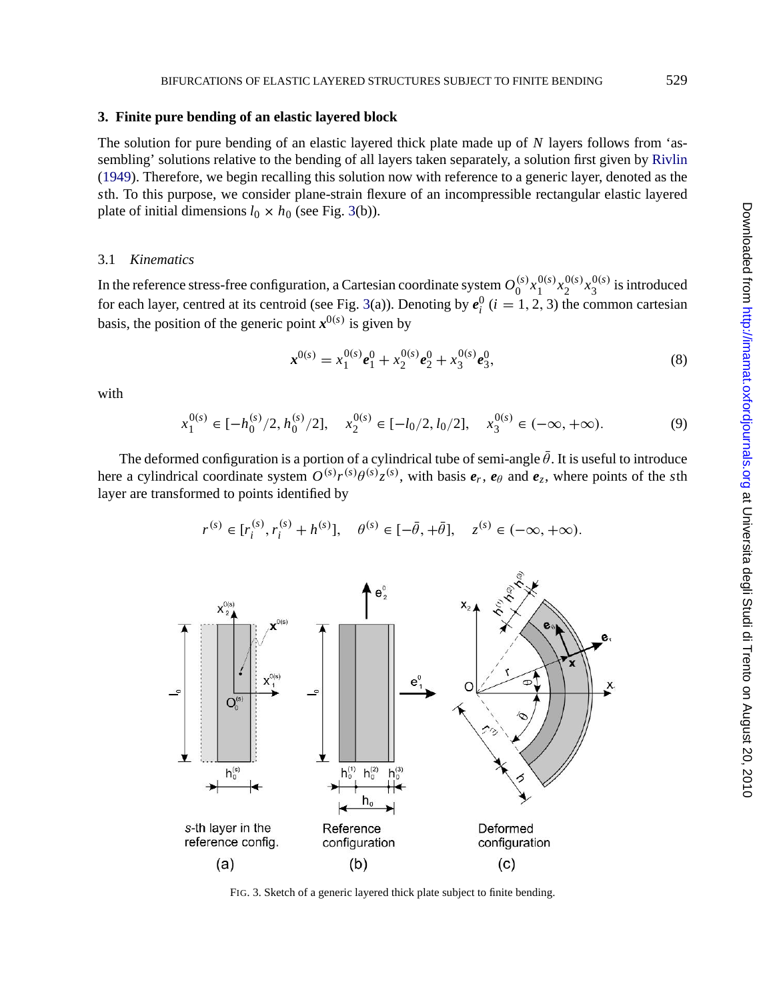## <span id="page-4-0"></span>**3. Finite pure bending of an elastic layered block**

The solution for pure bending of an elastic layered thick plate made up of *N* layers follows from 'assembling' solutions relative to the bending of all layers taken separately, a solution first given by Rivlin (1949). Therefore, we begin recalling this solution now with reference to a generic layer, denoted as the *s*th. To this purpose, we consider plane-strain flexure of an incompressible rectangular elastic layered plate of initial dimensions  $l_0 \times h_0$  (see Fig. 3(b)).

# 3.1 *Kinematics*

In the reference stress-free configuration, a Cartesian coordinate system  $O_0^{(s)}x_1^{0(s)}x_2^{0(s)}x_3^{0(s)}$  is introduced for each layer, centred at its centroid (see Fig. 3(a)). Denoting by  $e_i^0$  ( $i = 1, 2, 3$ ) the common cartesian basis, the position of the generic point  $x^{0(s)}$  is given by

$$
\mathbf{x}^{0(s)} = x_1^{0(s)} \mathbf{e}_1^0 + x_2^{0(s)} \mathbf{e}_2^0 + x_3^{0(s)} \mathbf{e}_3^0, \tag{8}
$$

with

$$
x_1^{0(s)} \in [-h_0^{(s)}/2, h_0^{(s)}/2], \quad x_2^{0(s)} \in [-l_0/2, l_0/2], \quad x_3^{0(s)} \in (-\infty, +\infty).
$$
 (9)

The deformed configuration is a portion of a cylindrical tube of semi-angle  $\bar{\theta}$ . It is useful to introduce here a cylindrical coordinate system  $O^{(s)}r^{(s)}\theta^{(s)}z^{(s)}$ , with basis  $e_r$ ,  $e_\theta$  and  $e_z$ , where points of the *s*th layer are transformed to points identified by

$$
r^{(s)} \in [r_i^{(s)}, r_i^{(s)} + h^{(s)}], \quad \theta^{(s)} \in [-\bar{\theta}, +\bar{\theta}], \quad z^{(s)} \in (-\infty, +\infty).
$$



FIG. 3. Sketch of a generic layered thick plate subject to finite bending.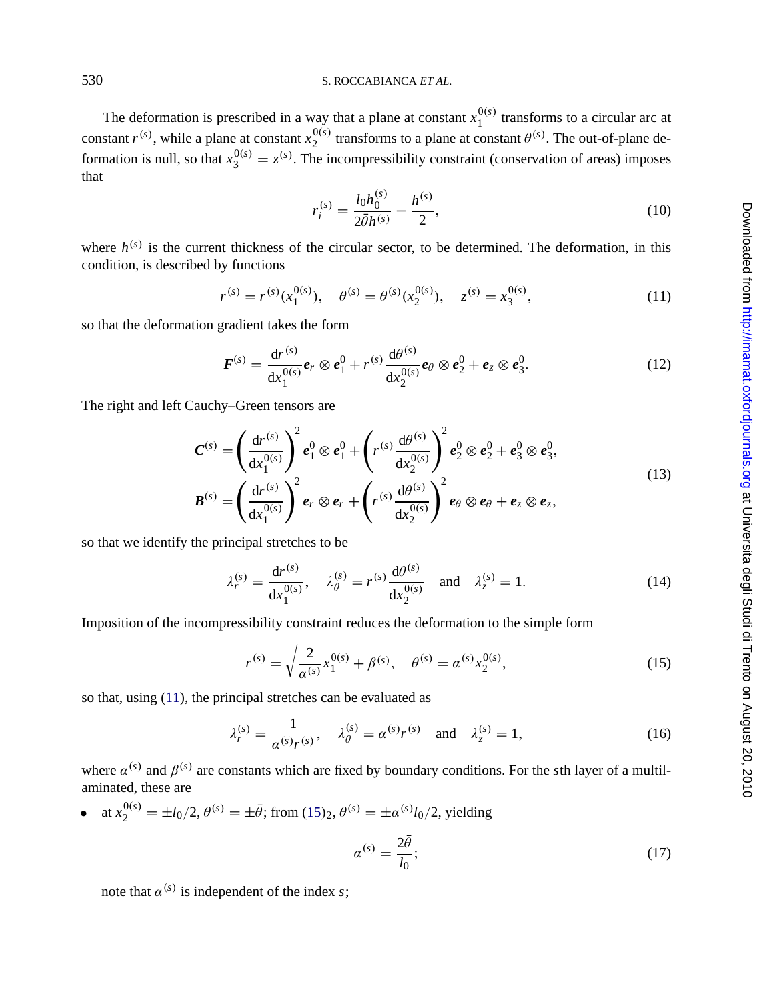The deformation is prescribed in a way that a plane at constant  $x_1^{0(s)}$  transforms to a circular arc at constant  $r^{(s)}$ , while a plane at constant  $x_2^{0(s)}$  transforms to a plane at constant  $\theta^{(s)}$ . The out-of-plane deformation is null, so that  $x_3^{0(s)} = z^{(s)}$ . The incompressibility constraint (conservation of areas) imposes that

$$
r_i^{(s)} = \frac{l_0 h_0^{(s)}}{2\bar{\theta}h^{(s)}} - \frac{h^{(s)}}{2},\tag{10}
$$

where  $h^{(s)}$  is the current thickness of the circular sector, to be determined. The deformation, in this condition, is described by functions

$$
r^{(s)} = r^{(s)}(x_1^{0(s)}), \quad \theta^{(s)} = \theta^{(s)}(x_2^{0(s)}), \quad z^{(s)} = x_3^{0(s)}, \tag{11}
$$

so that the deformation gradient takes the form

$$
\boldsymbol{F}^{(s)} = \frac{\mathrm{d}r^{(s)}}{\mathrm{d}x_1^{0(s)}}\boldsymbol{e}_r \otimes \boldsymbol{e}_1^0 + r^{(s)}\frac{\mathrm{d}\theta^{(s)}}{\mathrm{d}x_2^{0(s)}}\boldsymbol{e}_\theta \otimes \boldsymbol{e}_2^0 + \boldsymbol{e}_z \otimes \boldsymbol{e}_3^0. \tag{12}
$$

The right and left Cauchy–Green tensors are

$$
C^{(s)} = \left(\frac{dr^{(s)}}{dx_1^{0(s)}}\right)^2 e_1^0 \otimes e_1^0 + \left(r^{(s)}\frac{d\theta^{(s)}}{dx_2^{0(s)}}\right)^2 e_2^0 \otimes e_2^0 + e_3^0 \otimes e_3^0,
$$
\n(13)

$$
\boldsymbol{B}^{(s)} = \left(\frac{\mathrm{d}r^{(s)}}{\mathrm{d}x_1^{0(s)}}\right)^2 \boldsymbol{e}_r \otimes \boldsymbol{e}_r + \left(r^{(s)}\frac{\mathrm{d}\theta^{(s)}}{\mathrm{d}x_2^{0(s)}}\right)^2 \boldsymbol{e}_\theta \otimes \boldsymbol{e}_\theta + \boldsymbol{e}_z \otimes \boldsymbol{e}_z,
$$

so that we identify the principal stretches to be

$$
\lambda_r^{(s)} = \frac{dr^{(s)}}{dx_1^{0(s)}}, \quad \lambda_\theta^{(s)} = r^{(s)} \frac{d\theta^{(s)}}{dx_2^{0(s)}} \quad \text{and} \quad \lambda_z^{(s)} = 1.
$$
 (14)

Imposition of the incompressibility constraint reduces the deformation to the simple form

$$
r^{(s)} = \sqrt{\frac{2}{\alpha^{(s)}} x_1^{0(s)} + \beta^{(s)}}, \quad \theta^{(s)} = \alpha^{(s)} x_2^{0(s)}, \tag{15}
$$

so that, using (11), the principal stretches can be evaluated as

$$
\lambda_r^{(s)} = \frac{1}{\alpha^{(s)}r^{(s)}}, \quad \lambda_\theta^{(s)} = \alpha^{(s)}r^{(s)} \quad \text{and} \quad \lambda_z^{(s)} = 1,\tag{16}
$$

where  $\alpha^{(s)}$  and  $\beta^{(s)}$  are constants which are fixed by boundary conditions. For the *s*th layer of a multilaminated, these are

• at 
$$
x_2^{0(s)} = \pm l_0/2
$$
,  $\theta^{(s)} = \pm \bar{\theta}$ ; from (15)<sub>2</sub>,  $\theta^{(s)} = \pm \alpha^{(s)}l_0/2$ , yielding

$$
a^{(s)} = \frac{2\theta}{l_0};\tag{17}
$$

note that  $\alpha^{(s)}$  is independent of the index *s*;

Downloaded from http://imamat.oxfordjournals.org at Universita degli Studi di Trento on August 20, 2010

<span id="page-5-0"></span>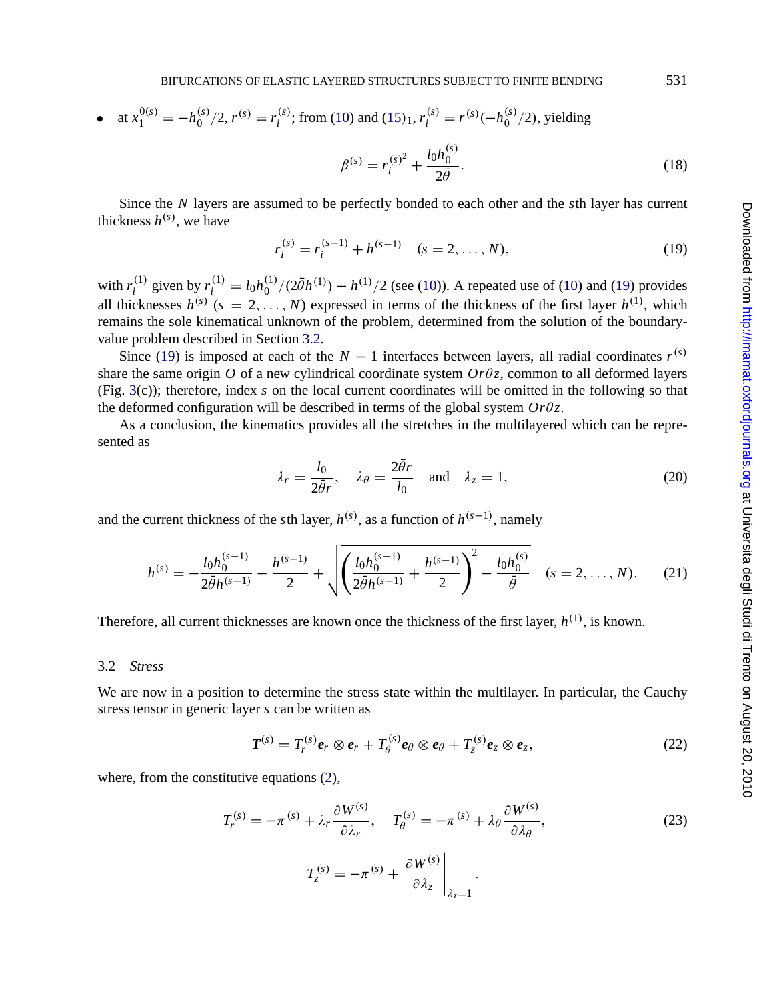<span id="page-6-0"></span>• at 
$$
x_1^{0(s)} = -h_0^{(s)}/2
$$
,  $r^{(s)} = r_i^{(s)}$ ; from (10) and (15)<sub>1</sub>,  $r_i^{(s)} = r^{(s)}(-h_0^{(s)}/2)$ , yielding

$$
\beta^{(s)} = r_i^{(s)^2} + \frac{l_0 h_0^{(s)}}{2\bar{\theta}}.
$$
\n(18)

Since the *N* layers are assumed to be perfectly bonded to each other and the *s*th layer has current thickness  $h^{(s)}$ , we have

$$
r_i^{(s)} = r_i^{(s-1)} + h^{(s-1)} \quad (s = 2, \dots, N),
$$
\n(19)

with  $r_i^{(1)}$  given by  $r_i^{(1)} = l_0 h_0^{(1)} / (2 \bar{\theta} h^{(1)}) - h^{(1)} / 2$  (see (10)). A repeated use of (10) and (19) provides all thicknesses  $h^{(s)}$  ( $s = 2, ..., N$ ) expressed in terms of the thickness of the first layer  $h^{(1)}$ , which remains the sole kinematical unknown of the problem, determined from the solution of the boundaryvalue problem described in Section 3.2.

Since (19) is imposed at each of the  $N-1$  interfaces between layers, all radial coordinates  $r^{(s)}$ share the same origin  $O$  of a new cylindrical coordinate system  $Or\theta z$ , common to all deformed layers (Fig. 3(c)); therefore, index *s* on the local current coordinates will be omitted in the following so that the deformed configuration will be described in terms of the global system  $Or\theta z$ .

As a conclusion, the kinematics provides all the stretches in the multilayered which can be represented as

$$
\lambda_r = \frac{l_0}{2\bar{\theta}_r}, \quad \lambda_\theta = \frac{2\bar{\theta}_r}{l_0} \quad \text{and} \quad \lambda_z = 1,
$$
\n(20)

and the current thickness of the *s*th layer,  $h^{(s)}$ , as a function of  $h^{(s-1)}$ , namely

$$
h^{(s)} = -\frac{l_0 h_0^{(s-1)}}{2\bar{\theta}h^{(s-1)}} - \frac{h^{(s-1)}}{2} + \sqrt{\left(\frac{l_0 h_0^{(s-1)}}{2\bar{\theta}h^{(s-1)}} + \frac{h^{(s-1)}}{2}\right)^2 - \frac{l_0 h_0^{(s)}}{\bar{\theta}}} \quad (s = 2, ..., N). \tag{21}
$$

Therefore, all current thicknesses are known once the thickness of the first layer,  $h^{(1)}$ , is known.

## 3.2 *Stress*

We are now in a position to determine the stress state within the multilayer. In particular, the Cauchy stress tensor in generic layer *s* can be written as

$$
\boldsymbol{T}^{(s)} = T_r^{(s)} \boldsymbol{e}_r \otimes \boldsymbol{e}_r + T_\theta^{(s)} \boldsymbol{e}_\theta \otimes \boldsymbol{e}_\theta + T_z^{(s)} \boldsymbol{e}_z \otimes \boldsymbol{e}_z, \qquad (22)
$$

where, from the constitutive equations  $(2)$ ,

$$
T_r^{(s)} = -\pi^{(s)} + \lambda_r \frac{\partial W^{(s)}}{\partial \lambda_r}, \quad T_\theta^{(s)} = -\pi^{(s)} + \lambda_\theta \frac{\partial W^{(s)}}{\partial \lambda_\theta},
$$
  

$$
T_z^{(s)} = -\pi^{(s)} + \frac{\partial W^{(s)}}{\partial \lambda_z}\Big|_{\lambda_z=1}.
$$
 (23)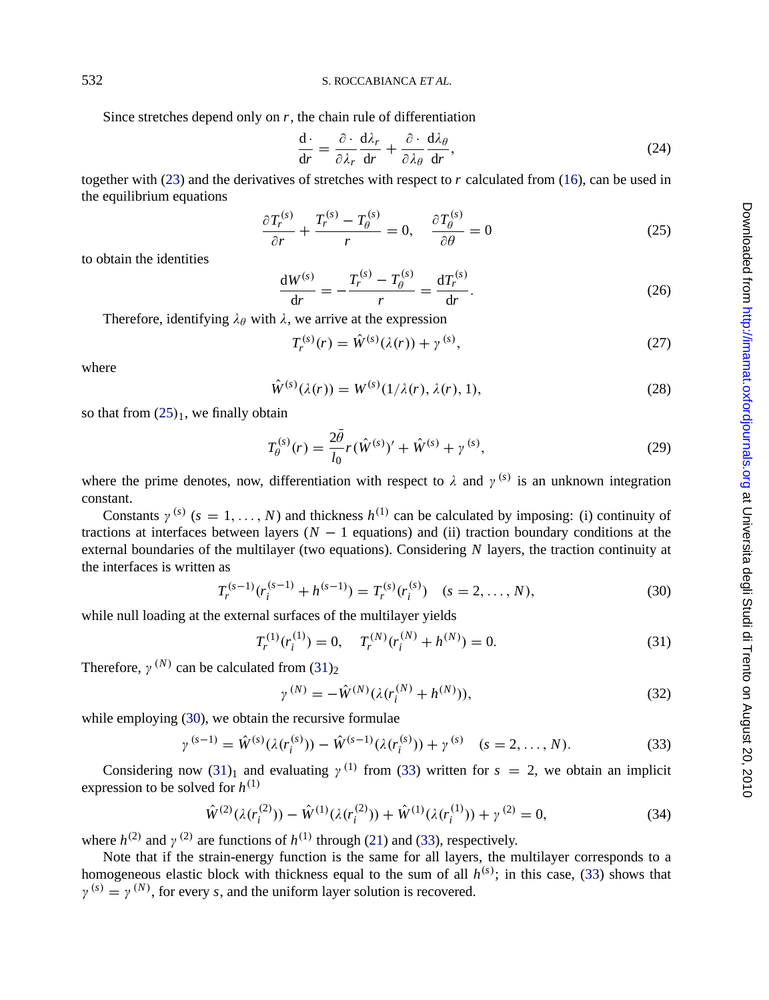Since stretches depend only on  $r$ , the chain rule of differentiation

$$
\frac{\mathrm{d}\cdot}{\mathrm{d}r} = \frac{\partial \cdot}{\partial \lambda_r} \frac{\mathrm{d}\lambda_r}{\mathrm{d}r} + \frac{\partial \cdot}{\partial \lambda_\theta} \frac{\mathrm{d}\lambda_\theta}{\mathrm{d}r},\tag{24}
$$

together with (23) and the derivatives of stretches with respect to *r* calculated from (16), can be used in the equilibrium equations

$$
\frac{\partial T_r^{(s)}}{\partial r} + \frac{T_r^{(s)} - T_\theta^{(s)}}{r} = 0, \quad \frac{\partial T_\theta^{(s)}}{\partial \theta} = 0 \tag{25}
$$

to obtain the identities

$$
\frac{dW^{(s)}}{dr} = -\frac{T_r^{(s)} - T_\theta^{(s)}}{r} = \frac{dT_r^{(s)}}{dr}.
$$
 (26)

Therefore, identifying  $\lambda_{\theta}$  with  $\lambda$ , we arrive at the expression

$$
T_r^{(s)}(r) = \hat{W}^{(s)}(\lambda(r)) + \gamma^{(s)},
$$
\n(27)

where

$$
\hat{W}^{(s)}(\lambda(r)) = W^{(s)}(1/\lambda(r), \lambda(r), 1),
$$
\n(28)

so that from  $(25)_1$ , we finally obtain

$$
T_{\theta}^{(s)}(r) = \frac{2\theta}{l_0} r(\hat{W}^{(s)})' + \hat{W}^{(s)} + \gamma^{(s)},
$$
\n(29)

where the prime denotes, now, differentiation with respect to  $\lambda$  and  $\gamma^{(s)}$  is an unknown integration constant.

Constants  $\gamma^{(s)}$  ( $s = 1, ..., N$ ) and thickness  $h^{(1)}$  can be calculated by imposing: (i) continuity of tractions at interfaces between layers (*N* − 1 equations) and (ii) traction boundary conditions at the external boundaries of the multilayer (two equations). Considering *N* layers, the traction continuity at the interfaces is written as

$$
T_r^{(s-1)}(r_i^{(s-1)} + h^{(s-1)}) = T_r^{(s)}(r_i^{(s)}) \quad (s = 2, \dots, N),
$$
\n(30)

while null loading at the external surfaces of the multilayer yields

$$
T_r^{(1)}(r_i^{(1)}) = 0, \quad T_r^{(N)}(r_i^{(N)} + h^{(N)}) = 0.
$$
\n(31)

Therefore,  $\gamma^{(N)}$  can be calculated from (31)<sub>2</sub>

$$
\gamma^{(N)} = -\hat{W}^{(N)}(\lambda(r_i^{(N)} + h^{(N)})),\tag{32}
$$

while employing (30), we obtain the recursive formulae

$$
\gamma^{(s-1)} = \hat{W}^{(s)}(\lambda(r_i^{(s)})) - \hat{W}^{(s-1)}(\lambda(r_i^{(s)})) + \gamma^{(s)} \quad (s = 2, ..., N). \tag{33}
$$

Considering now (31)<sub>1</sub> and evaluating  $\gamma^{(1)}$  from (33) written for  $s = 2$ , we obtain an implicit expression to be solved for  $h^{(1)}$ 

$$
\hat{W}^{(2)}(\lambda(r_i^{(2)})) - \hat{W}^{(1)}(\lambda(r_i^{(2)})) + \hat{W}^{(1)}(\lambda(r_i^{(1)})) + \gamma^{(2)} = 0,
$$
\n(34)

where  $h^{(2)}$  and  $\gamma^{(2)}$  are functions of  $h^{(1)}$  through (21) and (33), respectively.

Note that if the strain-energy function is the same for all layers, the multilayer corresponds to a homogeneous elastic block with thickness equal to the sum of all  $h^{(s)}$ ; in this case, (33) shows that  $\gamma^{(s)} = \gamma^{(N)}$ , for every *s*, and the uniform layer solution is recovered.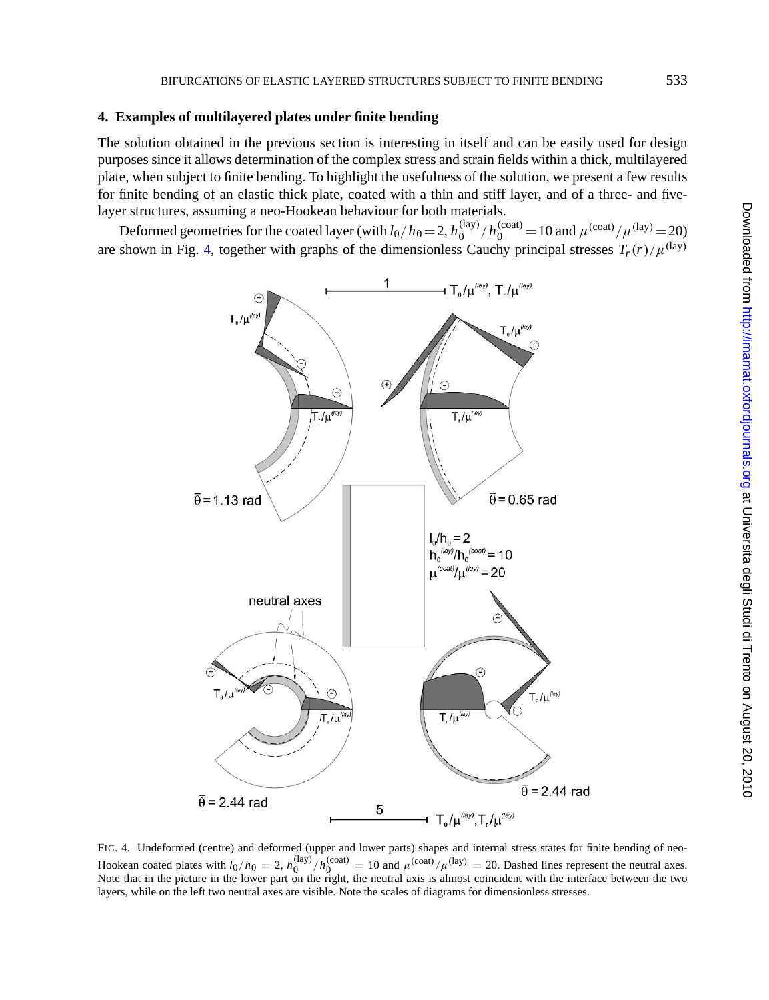#### <span id="page-8-0"></span>**4. Examples of multilayered plates under finite bending**

The solution obtained in the previous section is interesting in itself and can be easily used for design purposes since it allows determination of the complex stress and strain fields within a thick, multilayered plate, when subject to finite bending. To highlight the usefulness of the solution, we present a few results for finite bending of an elastic thick plate, coated with a thin and stiff layer, and of a three- and fivelayer structures, assuming a neo-Hookean behaviour for both materials.

Deformed geometries for the coated layer (with  $l_0/h_0 = 2$ ,  $h_0^{(\text{lay})}/h_0^{(\text{coat})} = 10$  and  $\mu^{(\text{coat})}/\mu^{(\text{lay})} = 20$ ) are shown in Fig. 4, together with graphs of the dimensionless Cauchy principal stresses  $T_r(r)/\mu^{\text{(lay)}}$ 



FIG. 4. Undeformed (centre) and deformed (upper and lower parts) shapes and internal stress states for finite bending of neo-Hookean coated plates with  $l_0/h_0 = 2$ ,  $h_0^{(\text{lay})}/h_0^{(\text{coat})} = 10$  and  $\mu^{(\text{coat})}/\mu^{(\text{lay})} = 20$ . Dashed lines represent the neutral axes.<br>Note that in the picture in the lower part on the right, the neutral axis is almo layers, while on the left two neutral axes are visible. Note the scales of diagrams for dimensionless stresses.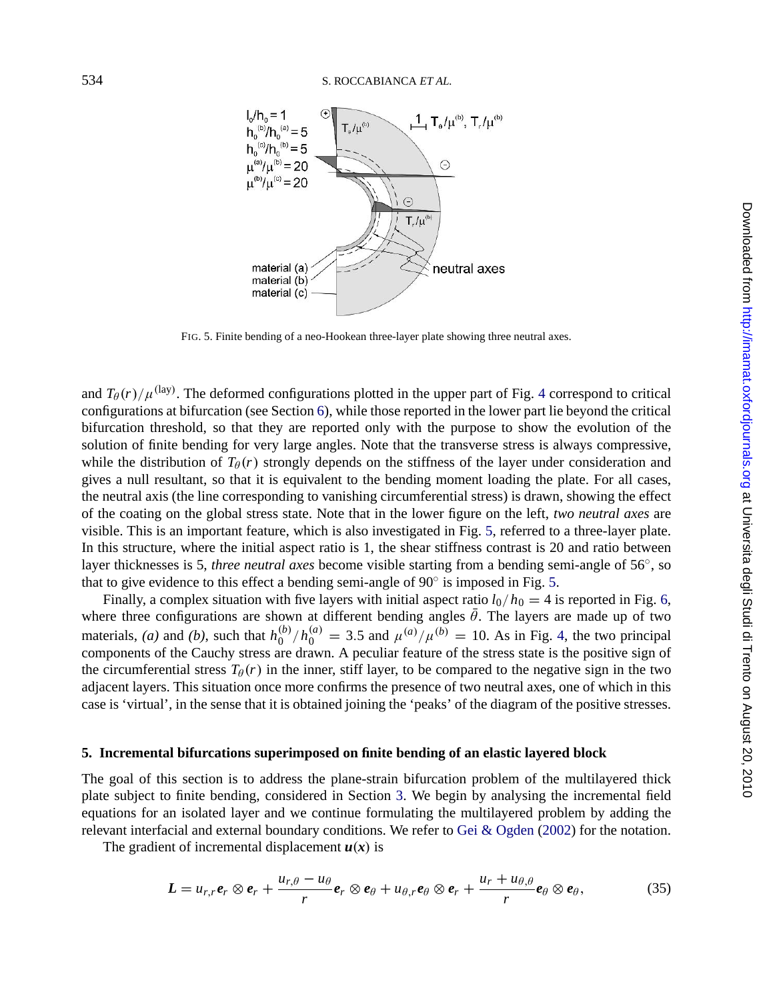<span id="page-9-0"></span>

FIG. 5. Finite bending of a neo-Hookean three-layer plate showing three neutral axes.

and  $T_{\theta}(r)/\mu^{\text{(lay)}}$ . The deformed configurations plotted in the upper part of Fig. 4 correspond to critical configurations at bifurcation (see Section 6), while those reported in the lower part lie beyond the critical bifurcation threshold, so that they are reported only with the purpose to show the evolution of the solution of finite bending for very large angles. Note that the transverse stress is always compressive, while the distribution of  $T_{\theta}(r)$  strongly depe[nd](#page-10-0)s on the stiffness of the layer under consideration and gives a null resultant, so that it is equivalent to the bending moment loading the plate. For all cases, the neutral axis (the line corresponding to vanishing circumferential stress) is draw[n,](#page-8-0) showing the effect of the coating on the global stress state. Note that in the lower figure on the left, *two neutral axes* are visible. This is an important feature, which is also investigated in Fig. 5, referred to a three-layer plate. In this structure, where the initial aspect ratio is 1, the shear stiffness contrast is 20 and ratio between layer thicknesses is 5, *three neutral axes* become visible starting from a bending semi-angle of 56◦, so that to give evidence to this effect a bending semi-angle of 90◦ is imposed in Fig. 5.

Finally, a complex situation with five layers with initial aspect ratio  $l_0/h_0 = 4$  is reported in Fig. 6, where three configurations are shown at different bending angles  $\theta$ . The layers are made up of two materials, *(a)* and *(b)*, such that  $h_0^{(b)}/h_0^{(a)} = 3.5$  and  $\mu^{(a)}/\mu^{(b)} = 10$ . As in Fig. 4, the two principal components of the Cauchy stress are drawn. A peculia[r f](#page-4-0)eature of the stress state is the positive sign of the circumferential stress  $T_{\theta}(r)$  in the inner, stiff layer, to be compared to the negative sign in the two adjacent layers. This situation once more confirms the presence of [two neutral axes, on](#page-21-0)e of which in this case is 'virtual', in the sense that it is obtained joining the 'peaks' of the diagram of the positive stresses.

#### **5. Incremental bifurcations superimposed on finite bending of an elastic layered block**

The goal of this section is to address the plane-strain bifurcation problem of the multilayered thick plate subject to finite bending, considered in Section 3. We begin by analysing the incremental field equations for an isolated layer and we continue formulating the multilayered problem by adding the relevant interfacial and external boundary conditions. We refer to Gei & Ogden (2002) for the notation.

The gradient of incremental displacement  $u(x)$  is

$$
L = u_{r,r}e_r \otimes e_r + \frac{u_{r,\theta} - u_{\theta}}{r}e_r \otimes e_{\theta} + u_{\theta,r}e_{\theta} \otimes e_r + \frac{u_r + u_{\theta,\theta}}{r}e_{\theta} \otimes e_{\theta},
$$
(35)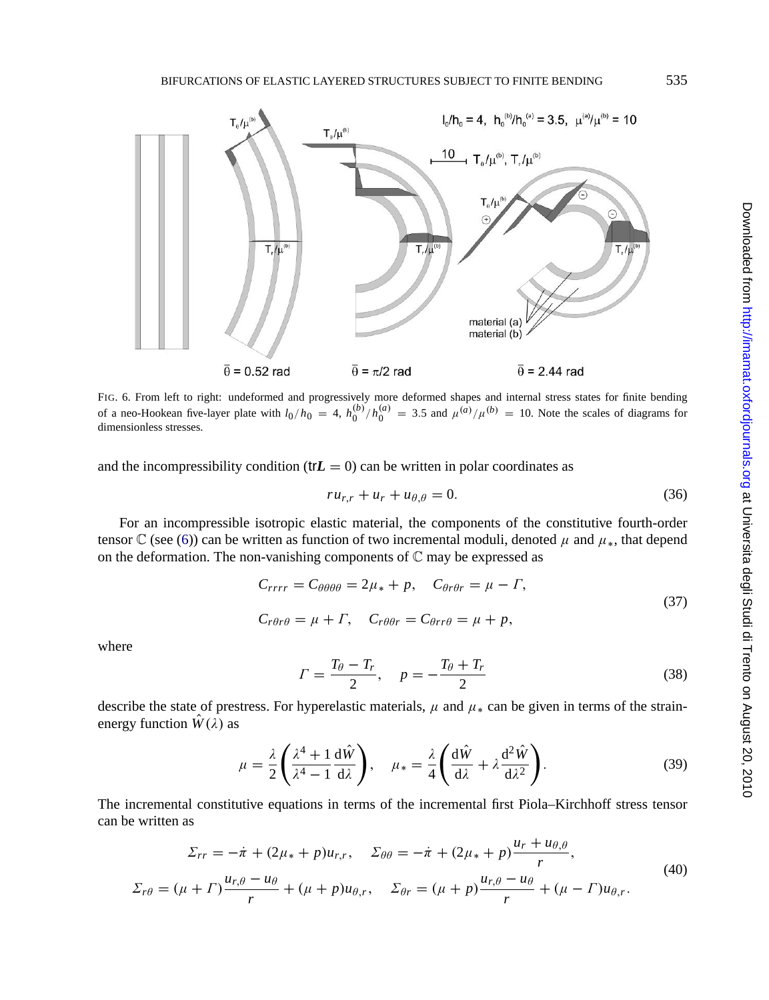<span id="page-10-0"></span>

FIG. 6. From left [to](#page-3-0) right: undeformed and progressively more deformed shapes and internal stress states for finite bending of a neo-Hookean five-layer plate with  $l_0/h_0 = 4$ ,  $h_0^{(b)}/h_0^{(a)} = 3.5$  and  $\mu^{(a)}/\mu^{(b)} = 10$ . Note the scales of diagrams for dimensionless stresses.

and the incompressibility condition ( $trL = 0$ ) can be written in polar coordinates as

$$
ru_{r,r} + u_r + u_{\theta,\theta} = 0. \tag{36}
$$

For an incompressible isotropic elastic material, the components of the constitutive fourth-order tensor C (see (6)) can be written as function of two incremental moduli, denoted  $\mu$  and  $\mu_*$ , that depend on the deformation. The non-vanishing components of  $\mathbb C$  may be expressed as

$$
C_{rrrr} = C_{\theta\theta\theta\theta} = 2\mu_* + p, \quad C_{\theta r\theta r} = \mu - \Gamma,
$$
\n(37)

$$
C_{r\theta r\theta} = \mu + \Gamma, \quad C_{r\theta\theta r} = C_{\theta r r\theta} = \mu + p,
$$

where

$$
\Gamma = \frac{T_{\theta} - T_r}{2}, \quad p = -\frac{T_{\theta} + T_r}{2} \tag{38}
$$

describe the state of prestress. For hyperelastic materials,  $\mu$  and  $\mu_*$  can be given in terms of the strainenergy function  $\hat{W}(\lambda)$  as

$$
\mu = \frac{\lambda}{2} \left( \frac{\lambda^4 + 1}{\lambda^4 - 1} \frac{d\hat{W}}{d\lambda} \right), \quad \mu_* = \frac{\lambda}{4} \left( \frac{d\hat{W}}{d\lambda} + \lambda \frac{d^2 \hat{W}}{d\lambda^2} \right).
$$
 (39)

The incremental constitutive equations in terms of the incremental first Piola–Kirchhoff stress tensor can be written as

$$
\Sigma_{rr} = -\dot{\pi} + (2\mu_* + p)u_{r,r}, \quad \Sigma_{\theta\theta} = -\dot{\pi} + (2\mu_* + p)\frac{u_r + u_{\theta,\theta}}{r},
$$
  

$$
\Sigma_{r\theta} = (\mu + \Gamma)\frac{u_{r,\theta} - u_{\theta}}{r} + (\mu + p)u_{\theta,r}, \quad \Sigma_{\theta r} = (\mu + p)\frac{u_{r,\theta} - u_{\theta}}{r} + (\mu - \Gamma)u_{\theta,r}.
$$
 (40)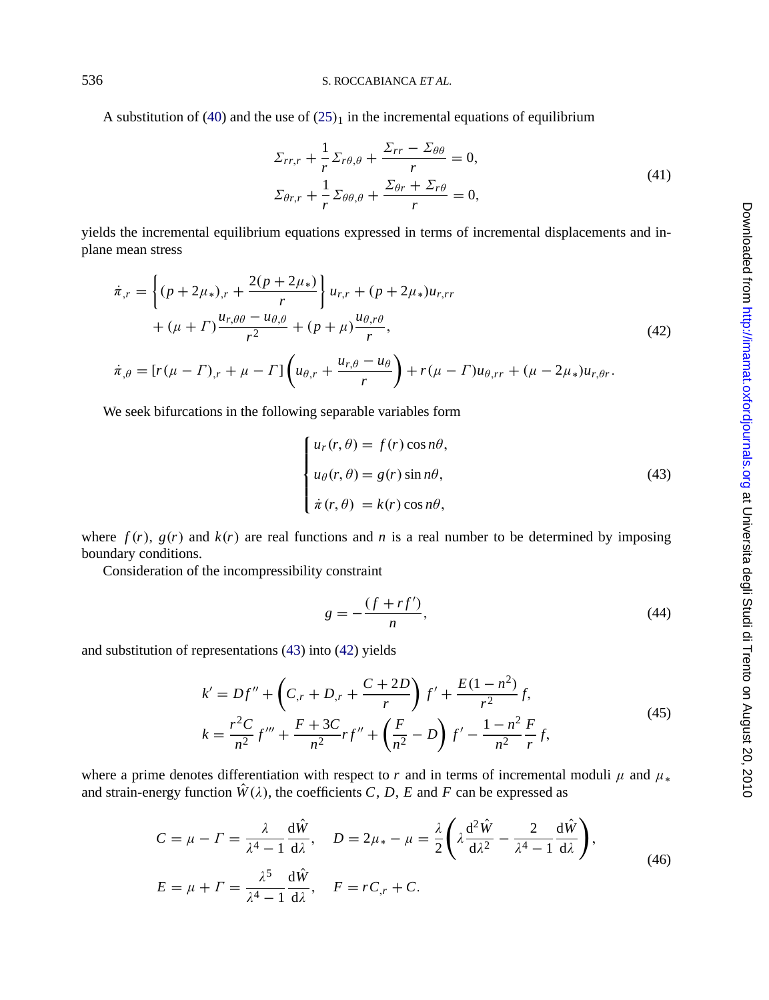A substitution of (40) and the use of  $(25)_1$  in the incremental equations of equilibrium

$$
\Sigma_{rr,r} + \frac{1}{r} \Sigma_{r\theta,\theta} + \frac{\Sigma_{rr} - \Sigma_{\theta\theta}}{r} = 0,
$$
  

$$
\Sigma_{\theta r,r} + \frac{1}{r} \Sigma_{\theta\theta,\theta} + \frac{\Sigma_{\theta r} + \Sigma_{r\theta}}{r} = 0,
$$
 (41)

yields the incremental equilibrium equations expressed in terms of incremental displacements and inplane mean stress

$$
\dot{\pi}_{,r} = \left\{ (p + 2\mu_*)_r + \frac{2(p + 2\mu_*)}{r} \right\} u_{r,r} + (p + 2\mu_*) u_{r,rr} \n+ (\mu + \Gamma) \frac{u_{r,\theta\theta} - u_{\theta,\theta}}{r^2} + (p + \mu) \frac{u_{\theta,r\theta}}{r},
$$
\n(42)

$$
\dot{\pi}_{,\theta} = [r(\mu - \Gamma)_{,r} + \mu - \Gamma] \left( u_{\theta,r} + \frac{u_{r,\theta} - u_{\theta}}{r} \right) + r(\mu - \Gamma)u_{\theta,rr} + (\mu - 2\mu_*)u_{r,\theta r}.
$$

We seek bifurcations in the following separable variables form

$$
\begin{cases}\n u_r(r, \theta) = f(r) \cos n\theta, \\
 u_{\theta}(r, \theta) = g(r) \sin n\theta, \\
 \dot{\pi}(r, \theta) = k(r) \cos n\theta,\n\end{cases}
$$
\n(43)

where  $f(r)$ ,  $g(r)$  and  $k(r)$  are real functions and *n* is a real number to be determined by imposing boundary conditions.

Consideration of the incompressibility constraint

$$
g = -\frac{(f + rf')}{n},\tag{44}
$$

and substitution of representations (43) into (42) yields

$$
k' = Df'' + \left(C_r + D_r + \frac{C + 2D}{r}\right)f' + \frac{E(1 - n^2)}{r^2}f,
$$
  

$$
r^2C = F + 2C \qquad (E \qquad 1 - n^2)E
$$
 (45)

$$
k = \frac{r^2 C}{n^2} f''' + \frac{F + 3C}{n^2} rf'' + \left(\frac{F}{n^2} - D\right) f' - \frac{1 - n^2}{n^2} \frac{F}{r} f,
$$

where a prime denotes differentiation with respect to *r* and in terms of incremental moduli  $\mu$  and  $\mu_*$ and strain-energy function  $\hat{W}(\lambda)$ , the coefficients *C*, *D*, *E* and *F* can be expressed as

$$
C = \mu - \Gamma = \frac{\lambda}{\lambda^4 - 1} \frac{d\hat{W}}{d\lambda}, \quad D = 2\mu_* - \mu = \frac{\lambda}{2} \left( \lambda \frac{d^2 \hat{W}}{d\lambda^2} - \frac{2}{\lambda^4 - 1} \frac{d\hat{W}}{d\lambda} \right),
$$
  
\n
$$
E = \mu + \Gamma = \frac{\lambda^5}{\lambda^4 - 1} \frac{d\hat{W}}{d\lambda}, \quad F = rC_{,r} + C.
$$
 (46)

<span id="page-11-0"></span>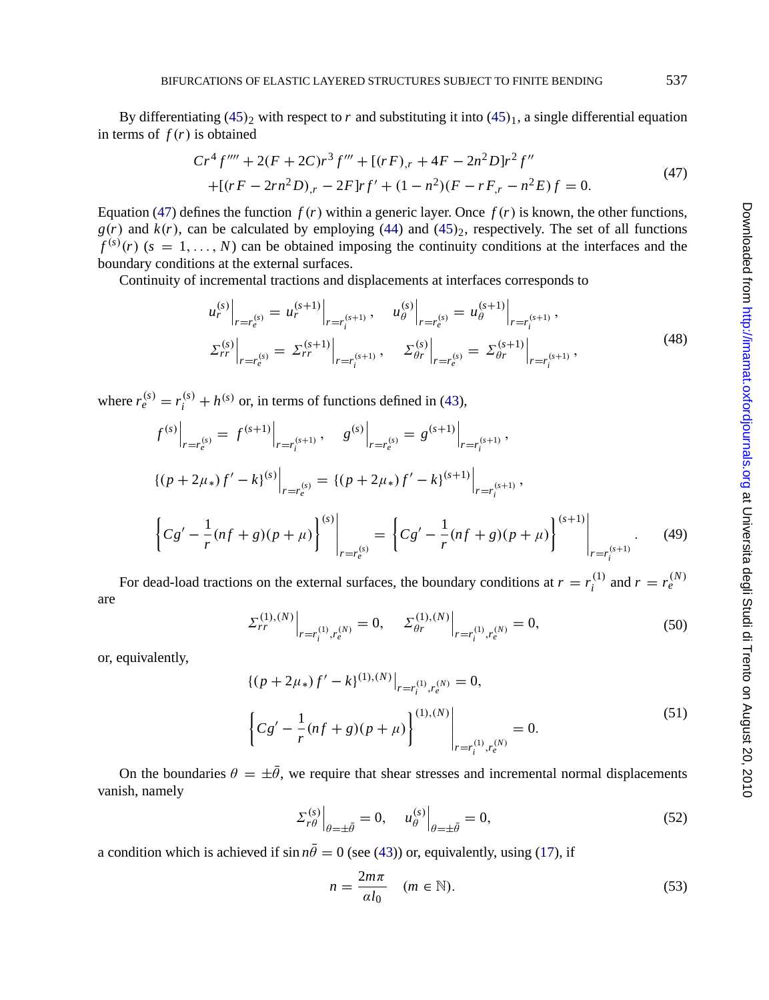<span id="page-12-0"></span>By differentiating (45)<sub>2</sub> with respect to *r* and substituting it into (45)<sub>1</sub>, a single differential equation in terms of  $f(r)$  is obtained

$$
Cr^4 f'''' + 2(F + 2C)r^3 f''' + [(rF)_{,r} + 4F - 2n^2D]r^2 f''
$$
  
+(rF – 2rn<sup>2</sup>D)<sub>,r</sub> – 2F]rf' + (1 – n<sup>2</sup>)(F – rF<sub>,r</sub> – n<sup>2</sup>E)f = 0. (47)

Equation (47) defines the function  $f(r)$  within a generic layer. Once  $f(r)$  is known, the other functions,  $g(r)$  and  $k(r)$ , can be calculated by employing (44) and (45)<sub>2</sub>, respectively. The set of all functions  $f^{(s)}(r)$  ( $s = 1, \ldots, N$ ) can be obtained imposing the continuity conditions at the interfaces and the boundary conditions at the external surfaces.

Continuity of incremental tractions and displacements at interfaces corresponds to

$$
u_r^{(s)}\Big|_{r=r_e^{(s)}} = u_r^{(s+1)}\Big|_{r=r_i^{(s+1)}}, \quad u_\theta^{(s)}\Big|_{r=r_e^{(s)}} = u_\theta^{(s+1)}\Big|_{r=r_i^{(s+1)}},
$$
  

$$
\Sigma_{rr}^{(s)}\Big|_{r=r_e^{(s)}} = \Sigma_{rr}^{(s+1)}\Big|_{r=r_i^{(s+1)}}, \quad \Sigma_{\theta r}^{(s)}\Big|_{r=r_e^{(s)}} = \Sigma_{\theta r}^{(s+1)}\Big|_{r=r_i^{(s+1)}},
$$
(48)

where  $r_e^{(s)} = r_i^{(s)} + h^{(s)}$  or, in terms of functions defined in (43),

$$
f^{(s)}\Big|_{r=r_e^{(s)}} = f^{(s+1)}\Big|_{r=r_i^{(s+1)}}, \quad g^{(s)}\Big|_{r=r_e^{(s)}} = g^{(s+1)}\Big|_{r=r_i^{(s+1)}},
$$
  

$$
\{(p+2\mu_*)f' - k\}^{(s)}\Big|_{r=r_e^{(s)}} = \{(p+2\mu_*)f' - k\}^{(s+1)}\Big|_{r=r_i^{(s+1)}},
$$
  

$$
\left\{Cg' - \frac{1}{r}(nf+g)(p+\mu)\right\}^{(s)}\Big|_{r=r_e^{(s)}} = \left\{Cg' - \frac{1}{r}(nf+g)(p+\mu)\right\}^{(s+1)}\Big|_{r=r_i^{(s+1)}}.
$$
 (49)

For dead-load tractions on the external surfaces, the boundary conditions at  $r = r_i^{(1)}$  and  $r = r_e^{(N)}$ are

$$
\Sigma_{rr}^{(1),(N)}\Big|_{r=r_i^{(1)},r_e^{(N)}}=0, \quad \Sigma_{\theta r}^{(1),(N)}\Big|_{r=r_i^{(1)},r_e^{(N)}}=0,\tag{50}
$$

or, equivalently,

$$
\{(p+2\mu_*)f' - k\}^{(1),(N)}\big|_{r=r_i^{(1)},r_e^{(N)}} = 0,
$$
  

$$
\left\{Cg' - \frac{1}{r}(nf+g)(p+\mu)\right\}^{(1),(N)}\bigg|_{r=r_i^{(1)},r_e^{(N)}} = 0.
$$
 (51)

On the boundaries  $\theta = \pm \bar{\theta}$ , we require that shear stresses and incremental normal displacements vanish, namely

$$
\Sigma_{r\theta}^{(s)}\Big|_{\theta=\pm\bar{\theta}}=0, \quad u_{\theta}^{(s)}\Big|_{\theta=\pm\bar{\theta}}=0,\tag{52}
$$

a condition which is achieved if  $\sin n\bar{\theta} = 0$  (see (43)) or, equivalently, using (17), if

$$
n = \frac{2m\pi}{al_0} \quad (m \in \mathbb{N}).
$$
\n(53)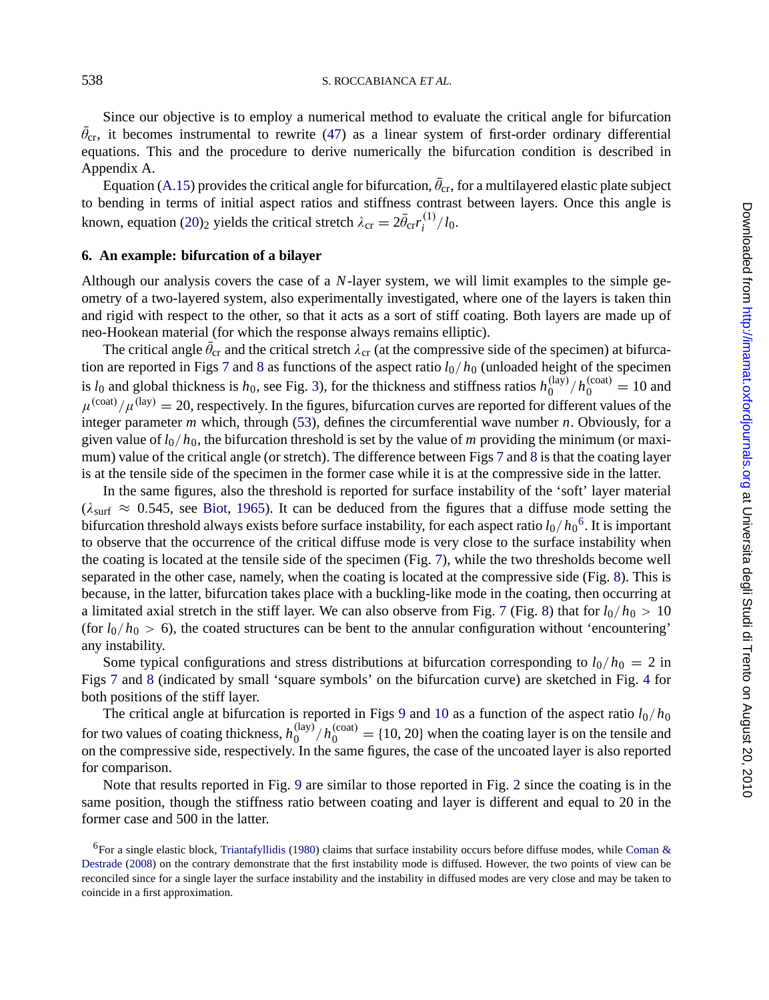Since our objective is to employ a numerical method to evaluate the critical angle for bifurcation  $\theta_{cr}$ , it becomes instrumental to rewrite (47) as a linear system of first-order ordinary differential equations. This and the procedure to derive numerically the bifurcation condition is described in Appendix A.

Equation (A.15) provides the critical angle for bifurcation,  $\theta_{\rm cr}$ , for a multilayered elastic plate subject to bending in terms of initial aspect ratios and stiffness contrast between layers. Once this angle is known, equation (20)<sub>2</sub> y[ie](#page-14-0)lds t[he](#page-15-0) critical stretch  $\lambda_{cr} = 2\bar{\theta}_{cr}r_i^{(1)}/l_0$ .

#### **6. An example: bifurcation of a bilay[er](#page-4-0)**

Although our analysis covers the cas[e o](#page-12-0)f a *N*-layer system, we will limit examples to the simple geometry of a two-layered system, also experimentally investigated, where one of the layers is taken thin and rigid with respect to the other, so that it acts as a sort of stiff coati[ng](#page-14-0). Bo[th](#page-15-0) layers are made up of neo-Hookean material (for which the response always remains elliptic).

The critical angle  $\theta_{cr}$  and the critical stretch  $\lambda_{cr}$  (at the compressive side of the specimen) at bifurcation are reported in F[igs](#page-20-0) 7 [and](#page-20-0) 8 as functions of the aspect ratio *l*0/*h*<sup>0</sup> (unloaded height of the specimen is  $l_0$  and global thickness is  $h_0$ , see Fig. 3), for the thickness and stiffness ratios  $h_0^{(\text{lay})}/h_0^{(\text{coat})} = 10$  and  $\mu^{\text{(cout)}}/\mu^{\text{(lay)}} = 20$ , respectively. In the figures, bifurcation curves are reported for different values of the integer parameter *m* which, through (53), defines the circumf[er](#page-14-0)ential wave number *n*. Obviously, for a given value of  $l_0/h_0$ , the bifurcation threshold is set by the value of *m* providing the minimu[m \(](#page-15-0)or maximum) value of the critical angle (or stretch). The difference between Figs 7 and 8 is that the coating layer is at the tensile side of the specimen in the former case while it is at the c[om](#page-14-0)pres[si](#page-15-0)ve side in the latter.

In the same figures, also the threshold is reported for surface instability of the 'soft' layer material ( $\lambda_{\text{surf}} \approx 0.545$ , see Biot, 1965). It can be deduced from the figures that a diffuse mode setting the bifurcation threshold always exists before surface instability, for each aspect ratio *l*0/*h*<sup>0</sup> 6. It is important to o[bse](#page-14-0)rve [th](#page-15-0)at the occurrence of the critical diffuse mode is very close to the surface instability [w](#page-8-0)hen the coating is located at the tensile side of the specimen (Fig. 7), while the two thresholds become well separated in the other case, namely, when the coating is [lo](#page-16-0)cat[ed a](#page-16-0)t the compressive side (Fig. 8). This is because, in the latter, bifurcation takes place with a buckling-like mode in the coating, then occurring at a limitated axial stretch in the stiff layer. We can also observe from Fig. 7 (Fig. 8) that for  $l_0/h_0 > 10$ (for  $l_0/h_0 > 6$ ), the coated structures can be bent to the annular configuration without 'encountering' any instability.

Some typical configurations and stress distributions at bifurcation corresponding to  $l_0/h_0 = 2$  in Figs 7 and 8 (indicated by small 'square symbols' on the bifurcation curve) are sketched in Fig. 4 for both positions of the stiff layer.

The critical angle at [bifurcation](#page-21-0) [is rep](#page-21-0)orted in Figs 9 and 10 as a funct[io](#page-21-0)n of the aspect ratio  $l_0/h_0$ for [two](#page-21-0) [value](#page-21-0)s of coating thickness,  $h_0^{(\text{lay})}/h_0^{(\text{cot})} = \{10, 20\}$  when the coating layer is on the tensile and on the compressive side, respectively. In the same figures, the case of the uncoated layer is also reported for comparison.

Note that results reported in Fig. 9 are similar to those reported in Fig. 2 since the coating is in the same position, though the stiffness ratio between coating and layer is different and equal to 20 in the former case and 500 in the latter.

<sup>&</sup>lt;sup>6</sup>For a single elastic block, Triantafyllidis (1980) claims that surface instability occurs before diffuse modes, while Coman & Destrade (2008) on the contrary demonstrate that the first instability mode is diffused. However, the two points of view can be reconciled since for a single layer the surface instability and the instability in diffused modes are very close and may be taken to coincide in a first approximation.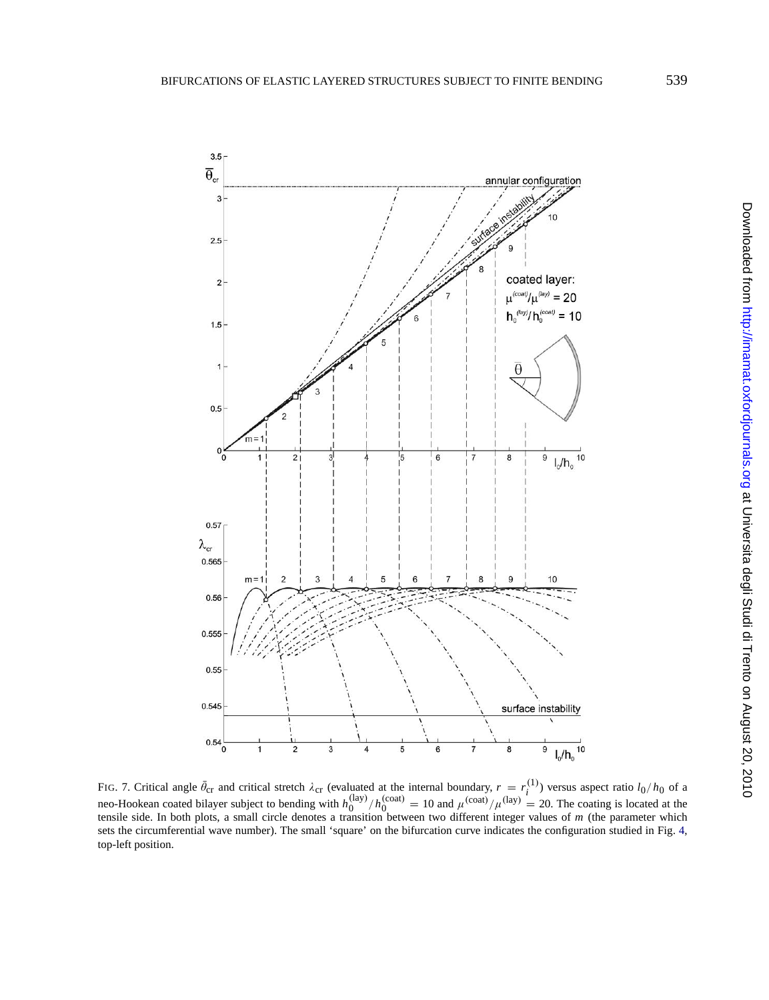<span id="page-14-0"></span>

FIG. 7. Critical angle  $\bar{\theta}_{cr}$  and critical stretch  $\lambda_{cr}$  (evaluated at the internal boundary,  $r = r_i^{(1)}$ ) versus aspect ratio  $l_0/h_0$  of a neo-Hookean coated bilayer subject to bending with  $h_0^{(\text{lay})}/h_0^{(\text{coat})} = 10$  and  $\mu^{(\text{coat})}/\mu^{(\text{lay})} = 20$ . The coating is located at the tensile side. In both plots, a small circle denotes a transition between two diff sets the circumferential wave number). The small 'square' on the bifurcation curve indicates the configuration studied in Fig. 4, top-left position.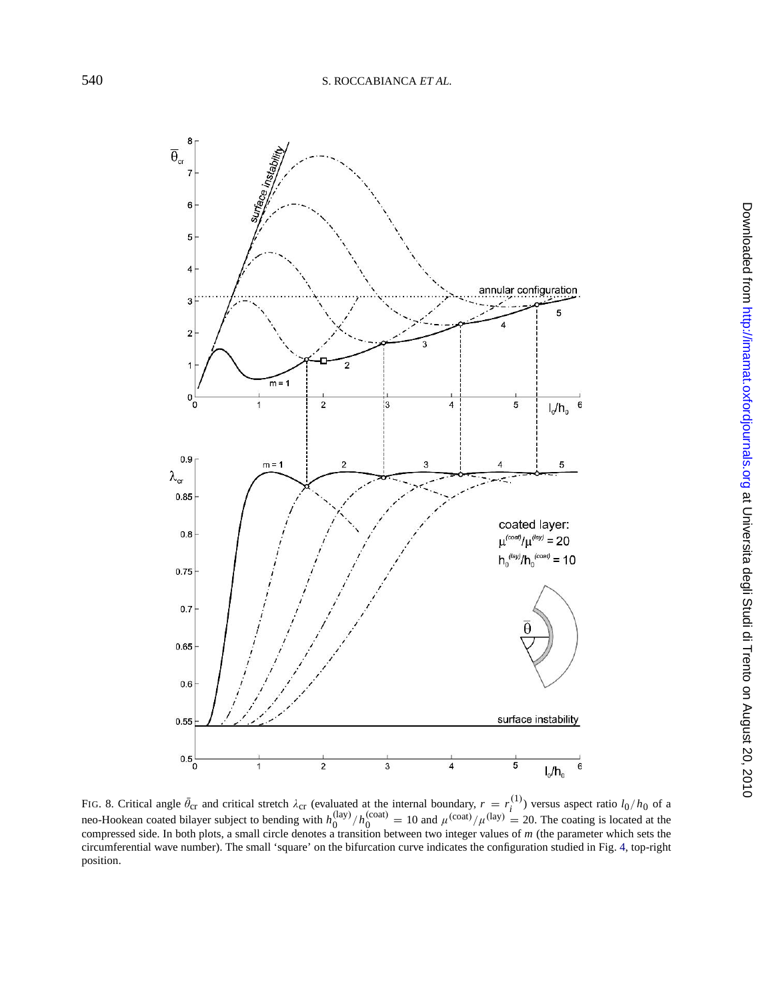<span id="page-15-0"></span>

FIG. 8. Critical angle  $\bar{\theta}_{cr}$  and critical stretch  $\lambda_{cr}$  (evaluated at the internal boundary,  $r = r_i^{(1)}$ ) versus aspect ratio  $l_0/h_0$  of a neo-Hookean coated bilayer subject to bending with  $h_0^{(\text{lay})}/h_0^{(\text{coat})} = 1$ circumferential wave number). The small 'square' on the bifurcation curve indicates the configuration studied in Fig. 4, top-right position.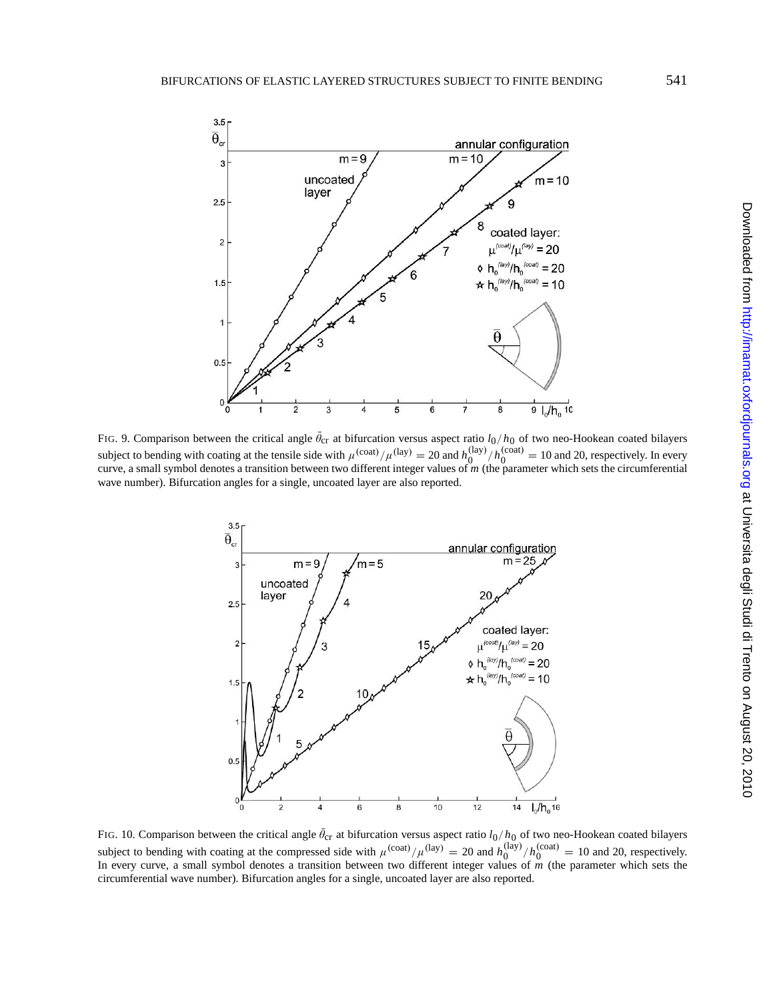<span id="page-16-0"></span>

FIG. 9. Comparison between the critical angle  $\theta_{cr}$  at bifurcation versus aspect ratio  $l_0/h_0$  of two neo-Hookean coated bilayers subject to bending with coating at the tensile side with  $\mu^{\text{(cost)}}/\mu^{\text{(lay)}} = 20$  and  $h_0^{\text{(lay)}}/h_0^{\text{(coat)}} = 10$  and 20, respectively. In every curve, a small symbol denotes a transition between two different integer values of *m* (the parameter which sets the circumferential wave number). Bifurcation angles for a single, uncoated layer are also reported.



FIG. 10. Comparison between the critical angle  $\theta_{cr}$  at bifurcation versus aspect ratio  $l_0/h_0$  of two neo-Hookean coated bilayers subject to bending with coating at the compressed side with  $\mu^{(\text{coat})}/\mu^{(\text{lay})} = 20$  and  $h_0^{(\text{lay})}/h_0^{(\text{coat})} = 10$  and 20, respectively.<br>In every curve, a small symbol denotes a transition between two different integer circumferential wave number). Bifurcation angles for a single, uncoated layer are also reported.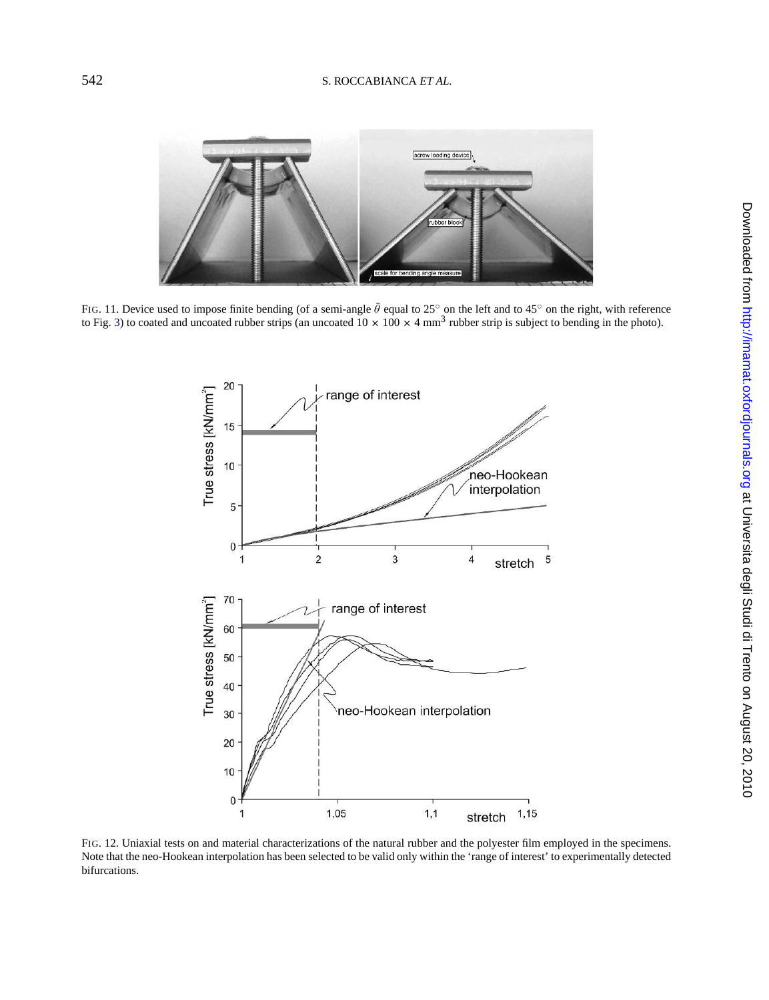<span id="page-17-0"></span>

FIG. 11. Device used to impose finite bending (of a semi-angle  $\theta$  equal to 25° on the left and to 45° on the right, with reference to Fig. 3) to coated and uncoated rubber strips (an uncoated  $10 \times 100 \times 4$  mm<sup>3</sup> rubber



FIG. 12. Uniaxial tests on and material characterizations of the natural rubber and the polyester film employed in the specimens. Note that the neo-Hookean interpolation has been selected to be valid only within the 'range of interest' to experimentally detected bifurcations.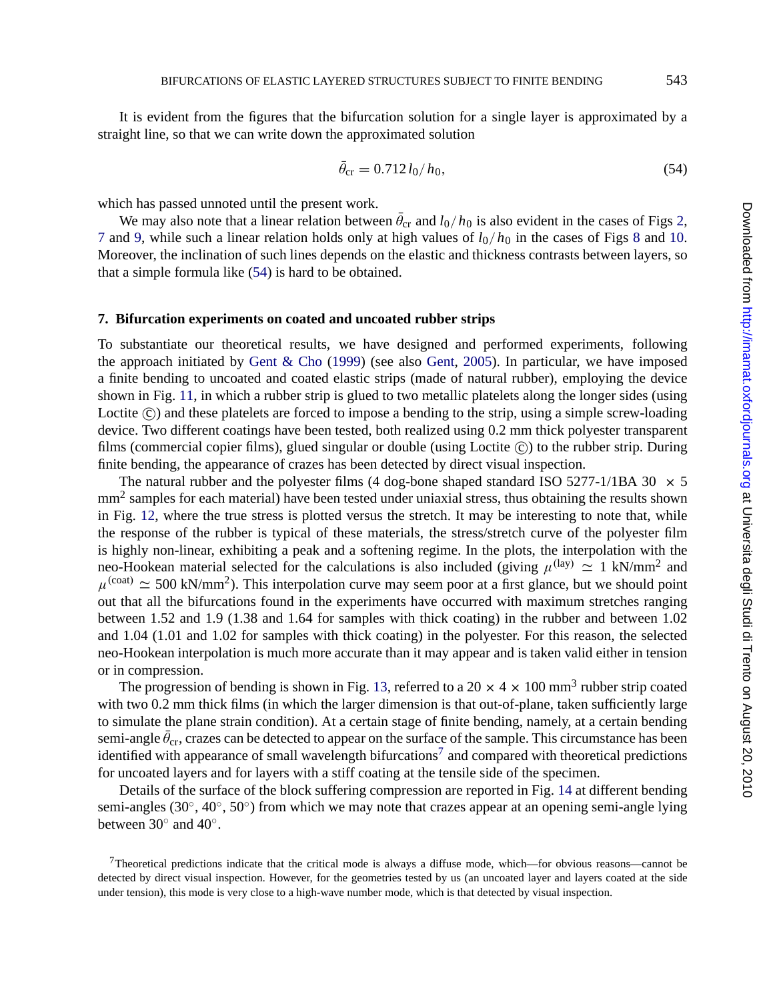<span id="page-18-0"></span>It is evident from the figures that the bifurcation solution for a single layer is approximated by a straight line, so that we can write down the approximated solution

$$
\theta_{\rm cr} = 0.712 \, l_0 / h_0,\tag{54}
$$

which has passed unnoted until the present work.

We may also note that [a linear relation bet](#page-21-0)ween  $\theta_{cr}$  a[nd](#page-21-0)  $l_0/h_0$  [is](#page-21-0) also evident in the cases of Figs 2, 7 and 9, while such a linear relation holds only at high values of  $l_0/h_0$  in the cases of Figs 8 and 10. Moreover, the [inc](#page-17-0)lination of such lines depends on the elastic and thickness contrasts between layers, so that a simple formula like (54) is hard to be obtained.

#### **7. Bifurcation experiments on coated and uncoated rubber strips**

To substantiate our theoretical results, we have designed and performed experiments, following the approach initiated by Gent & Cho (1999) (see also Gent, 2005). In particular, we have imposed a finite [be](#page-17-0)nding to uncoated and coated elastic strips (made of natural rubber), employing the device shown in Fig. 11, in which a rubber strip is glued to two metallic platelets along the longer sides (using Loctite (c)) and these platelets are forced to impose a bending to the strip, using a simple screw-loading device. Two different coatings have been tested, both realized using 0.2 mm thick polyester transparent films (commercial copier films), glued singular or double (using Loctite  $(\hat{c})$ ) to the rubber strip. During finite bending, the appearance of crazes has been detected by direct visual inspection.

The natural rubber and the polyester films (4 dog-bone shaped standard ISO 5277-1/1BA 30  $\times$  5 mm<sup>2</sup> samples for each material) have been tested under uniaxial stress, thus obtaining the results shown in Fig. 12, where the true stress is plotted versus the stretch. It may be interesting to note that, while the response of the rubber is typical of these materials, the stress/stretch curve of the polyester film is highly non-linear, exhibiting a peak and a s[ofte](#page-19-0)ning regime. In the plots, the interpolation with the neo-Hookean material selected for the calculations is also included (giving  $\mu^{(\text{lay})} \simeq 1 \text{ kN/mm}^2$  and  $\mu^{\text{(coat)}} \approx 500 \text{ kN/mm}^2$ ). This interpolation curve may seem poor at a first glance, but we should point out that all the bifurcations found in the experiments have occurred with maximum stretches ranging between 1.52 and 1.9 (1.38 and 1.64 for samples with thick coating) in the rubber and between 1.02 and 1.04 (1.01 and 1.02 for samples with thick coating) in the polyester. For this reason, the selected neo-Hookean interpolation is much more accurate than it may appear and is take[n va](#page-19-0)lid either in tension or in compression.

The progression of bending is shown in Fig. 13, referred to a 20  $\times$  4  $\times$  100 mm<sup>3</sup> rubber strip coated with two 0.2 mm thick films (in which the larger dimension is that out-of-plane, taken sufficiently large to simulate the plane strain condition). At a certain stage of finite bending, namely, at a certain bending semi-angle  $\theta_{cr}$ , crazes can be detected to appear on the surface of the sample. This circumstance has been identified with appearance of small wavelength bifurcations<sup>7</sup> and compared with theoretical predictions for uncoated layers and for layers with a stiff coating at the tensile side of the specimen.

Details of the surface of the block suffering compression are reported in Fig. 14 at different bending semi-angles (30°, 40°, 50°) from which we may note that crazes appear at an opening semi-angle lying between 30◦ and 40◦.

<sup>7</sup>Theoretical predictions indicate that the critical mode is always a diffuse mode, which—for obvious reasons—cannot be detected by direct visual inspection. However, for the geometries tested by us (an uncoated layer and layers coated at the side under tension), this mode is very close to a high-wave number mode, which is that detected by visual inspection.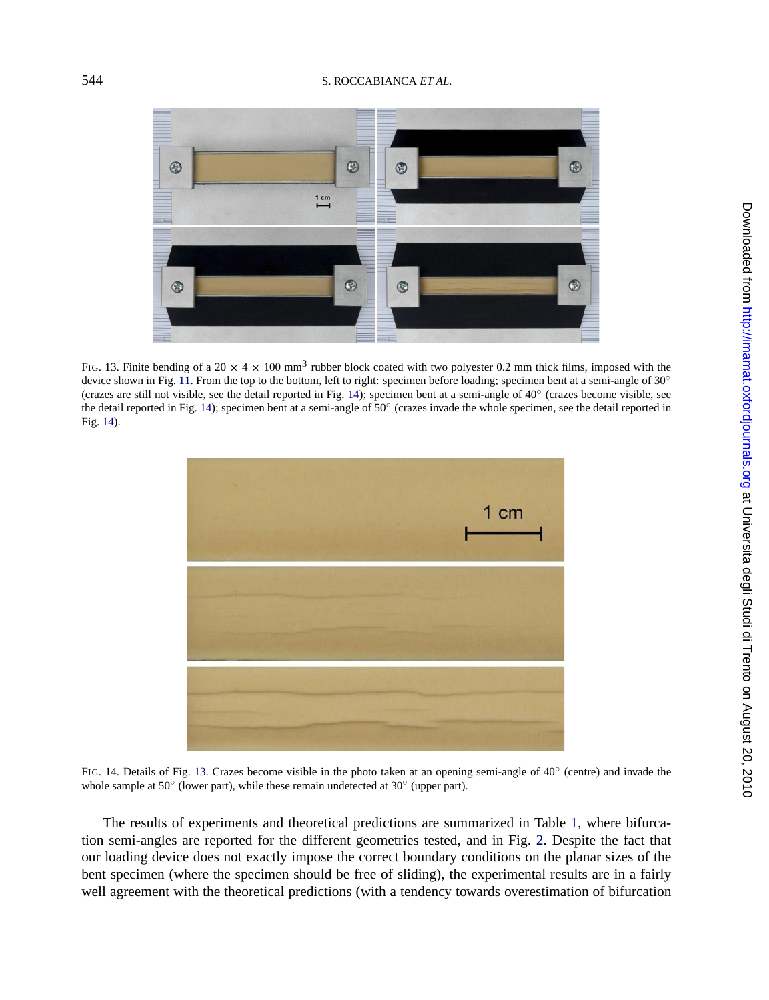<span id="page-19-0"></span>

FIG. 13. Finite bending of a 20  $\times$  4  $\times$  100 mm<sup>3</sup> rubber block coated with two polyester 0.2 mm thick films, imposed with the device shown in Fig. 11. From the top to the bottom, left to right: specimen before loading; specimen bent at a semi-angle of 30° (crazes are still not visible, see the detail reported in Fig. 14); specimen bent at a semi-angle of 40◦ (crazes become visible, see the detail reported in Fig. 14); specimen bent at a semi-angle of 50◦ (crazes invade the whole specimen, see the detail reported in Fig. 14).



FIG. 14. Details of Fig. 13. Crazes become visible in the photo taken at an opening semi-angle of 40° (centre) and invade the whole sample at 50◦ (lower part), while these remain undetected at 30◦ (upper part).

The results of experiments and theoretical predictions are summarized in Table 1, where bifurcation semi-angles are reported for the different geometries tested, and in Fig. 2. Despite the fact that our loading device does not exactly impose the correct boundary conditions on the planar sizes of the bent specimen (where the specimen should be free of sliding), the experimental results are in a fairly well agreement with the theoretical predictions (with a tendency towards overestimation of bifurcation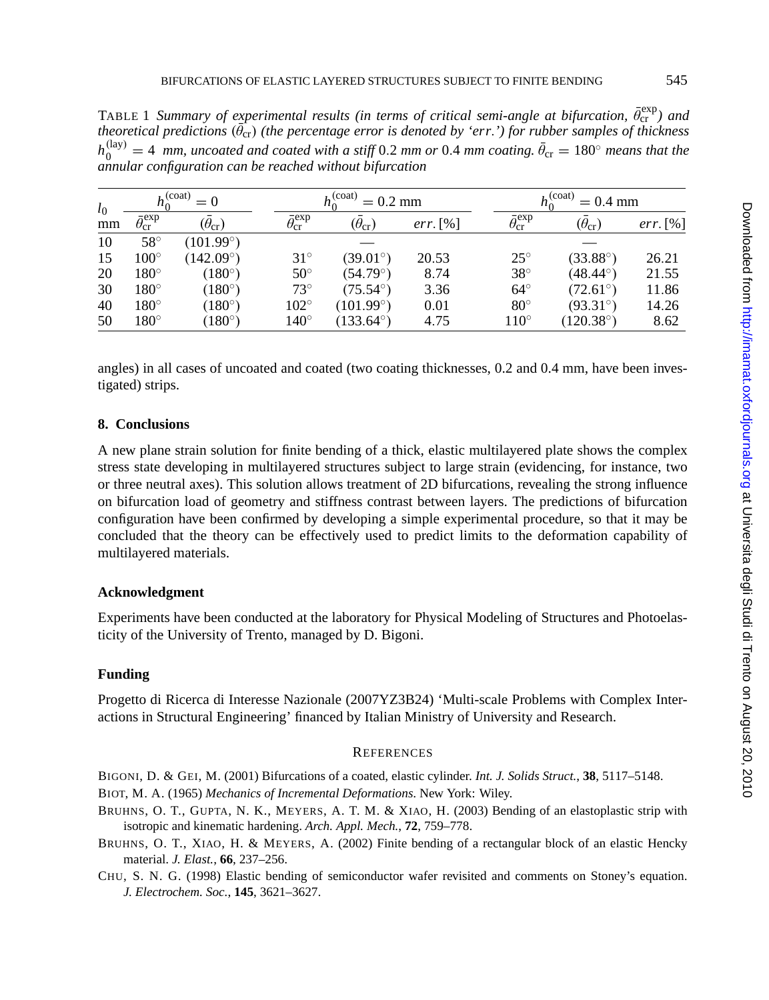<span id="page-20-0"></span>TABLE 1 *Summary of experimental results (in terms of critical semi-angle at bifurcation,*  $\bar{\theta}_{\rm cr}^{\rm exp}$ *) and theoretical predictions* (θ<sub>cr</sub>) (the percentage error is denoted by 'err.') for rubber samples of thickness  $h_0^{(\text{lay})} = 4$  *mm, uncoated and coated with a stiff* 0.2 *mm or* 0.4 *mm coating.*  $\bar{\theta}_{\text{cr}} = 180^\circ$  *means that the annular configuration can be reached without bifurcation*

| $l_0$<br>mm | $\cdot$ (coat)                    |                    | (coat)<br>$= 0.2$ mm              |                    |            |                                   | $(c$ oat<br>$= 0.4$ mm |             |  |
|-------------|-----------------------------------|--------------------|-----------------------------------|--------------------|------------|-----------------------------------|------------------------|-------------|--|
|             | $\bar{\theta}_{\rm cr}^{\rm exp}$ | $(\theta_{cr})$    | $\bar{\theta}_{\rm cr}^{\rm exp}$ | $(\theta_{cr})$    | $err.$ [%] | $\bar{\theta}_{\rm cr}^{\rm exp}$ | $(\theta_{cr})$        | $err. [\%]$ |  |
| 10          | $58^{\circ}$                      | $(101.99^\circ)$   |                                   |                    |            |                                   |                        |             |  |
| 15          | $100^\circ$                       | $(142.09^{\circ})$ | $31^\circ$                        | $(39.01^\circ)$    | 20.53      | $25^{\circ}$                      | $(33.88^\circ)$        | 26.21       |  |
| 20          | $180^\circ$                       | $(180^\circ)$      | $50^\circ$                        | $(54.79^{\circ})$  | 8.74       | $38^\circ$                        | $(48.44^\circ)$        | 21.55       |  |
| 30          | $180^\circ$                       | $(180^\circ)$      | $73^{\circ}$                      | $(75.54^{\circ})$  | 3.36       | $64^\circ$                        | $(72.61^{\circ})$      | 11.86       |  |
| 40          | $180^\circ$                       | $(180^\circ)$      | $102^{\circ}$                     | (101.99°)          | 0.01       | $80^\circ$                        | $(93.31^{\circ}$       | 14.26       |  |
| 50          | $180^\circ$                       | $(180^{\circ})$    | $140^\circ$                       | $(133.64^{\circ})$ | 4.75       | $110^{\circ}$                     | $(120.38^\circ)$       | 8.62        |  |

angles) in all cases of uncoated and coated (two coating thicknesses, 0.2 and 0.4 mm, have been investigated) strips.

## **8. Conclusions**

A new plane strain solution for finite bending of a thick, elastic multilayered plate shows the complex stress state developing in multilayered structures subject to large strain (evidencing, for instance, two or three neutral axes). This solution allows treatment of 2D bifurcations, revealing the strong influence on bifurcation load of geometry and stiffness contrast between layers. The predictions of bifurcation configuration have been confirmed by developing a simple experimental procedure, so that it may be concluded that the theory can be effectively used to predict limits to the deformation capability of multilayered materials.

## **Acknowledgment**

Experiments have been conducted at the laboratory for Physical Modeling of Structures and Photoelasticity of the University of Trento, managed by D. Bigoni.

## **Funding**

Progetto di Ricerca di Interesse Nazionale (2007YZ3B24) 'Multi-scale Problems with Complex Interactions in Structural Engineering' financed by Italian Ministry of University and Research.

#### **REFERENCES**

- BIGONI, D. & GEI, M. (2001) Bifurcations of a coated, elastic cylinder. *Int. J. Solids Struct.*, **38**, 5117–5148. BIOT, M. A. (1965) *Mechanics of Incremental Deformations*. New York: Wiley.
- BRUHNS, O. T., GUPTA, N. K., MEYERS, A. T. M. & XIAO, H. (2003) Bending of an elastoplastic strip with isotropic and kinematic hardening. *Arch. Appl. Mech.*, **72**, 759–778.
- BRUHNS, O. T., XIAO, H. & MEYERS, A. (2002) Finite bending of a rectangular block of an elastic Hencky material. *J. Elast.*, **66**, 237–256.
- CHU, S. N. G. (1998) Elastic bending of semiconductor wafer revisited and comments on Stoney's equation. *J. Electrochem. Soc.*, **145**, 3621–3627.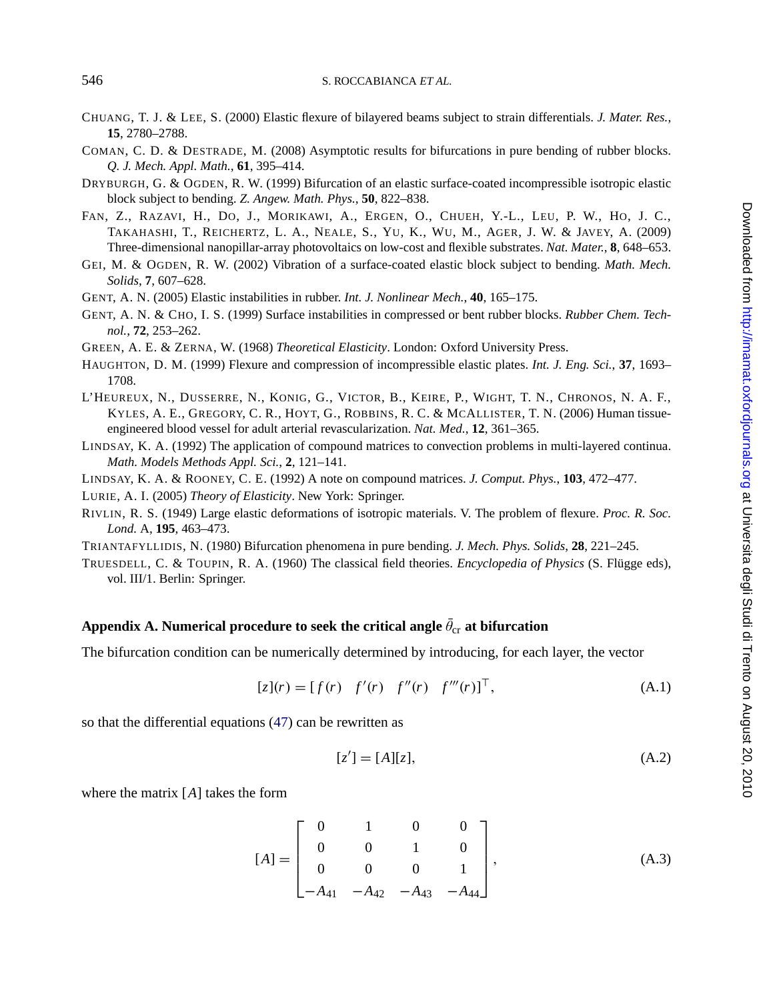- <span id="page-21-0"></span>CHUANG, T. J. & LEE, S. (2000) Elastic flexure of bilayered beams subject to strain differentials. *J. Mater. Res.*, **15**, 2780–2788.
- COMAN, C. D. & DESTRADE, M. (2008) Asymptotic results for bifurcations in pure bending of rubber blocks. *Q. J. Mech. Appl. Math.*, **61**, 395–414.
- DRYBURGH, G. & OGDEN, R. W. (1999) Bifurcation of an elastic surface-coated incompressible isotropic elastic block subject to bending. *Z. Angew. Math. Phys.*, **50**, 822–838.
- FAN, Z., RAZAVI, H., DO, J., MORIKAWI, A., ERGEN, O., CHUEH, Y.-L., LEU, P. W., HO, J. C., TAKAHASHI, T., REICHERTZ, L. A., NEALE, S., YU, K., WU, M., AGER, J. W. & JAVEY, A. (2009) Three-dimensional nanopillar-array photovoltaics on low-cost and flexible substrates. *Nat. Mater.*, **8**, 648–653.
- GEI, M. & OGDEN, R. W. (2002) Vibration of a surface-coated elastic block subject to bending. *Math. Mech. Solids*, **7**, 607–628.
- GENT, A. N. (2005) Elastic instabilities in rubber. *Int. J. Nonlinear Mech.*, **40**, 165–175.
- GENT, A. N. & CHO, I. S. (1999) Surface instabilities in compressed or bent rubber blocks. *Rubber Chem. Technol.*, **72**, 253–262.
- GREEN, A. E. & ZERNA, W. (1968) *Theoretical Elasticity*. London: Oxford University Press.
- HAUGHTON, D. M. (1999) Flexure and compression of incompressible elastic plates. *Int. J. Eng. Sci.*, **37**, 1693– 1708.
- L'HEUREUX, N., DUSSERRE, N., KONIG, G., VICTOR, B., KEIRE, P., WIGHT, T. N., CHRONOS, N. A. F., KYLES, A. E., GREGORY, C. R., HOYT, G., ROBBINS, R. C. & MCALLISTER, T. N. (2006) Human tissueengineered blood vessel for adult arterial revascularization. *Nat. Med.*, **12**, 361–365.
- LINDSAY, K. A. (1992) The application of compound matrices to convection problems in multi-layered continua. *Math. Models Methods Appl. Sci.*, **2**, 121–141.
- LINDSAY, K. A. & ROONEY, C. E. (1992) A note on compound matrices. *J. Comput. Phys.*, **103**, 472–477.
- LURIE, A. I. (2005) *Theory of Elasticity*. New York: Springer.
- RIVLIN, R. S. (1949) Large elastic deformations of isotropic materials. V. The problem of flexure. *Proc. R. Soc. Lond.* A, **195**, 463–473.
- TRIANTAFYLLIDIS, N. (1980) Bifurcation phenomena in pure bending. *J. Mech. Phys. Solids*, **28**, 221–245.
- TRUESDELL, C. & TOUPIN, R. A. (1960) The classical field theories. *Encyclopedia of Physics* (S. Flugge eds), ¨ vol. III/1. Berlin: Springer.

# $\bold{Appendix\ A.}$  Numerical procedure to seek the critical angle  $\theta_{\rm cr}$  at bifurcation

The bifurcation condition can be numerically determined by introducing, for each layer, the vector

$$
[z](r) = [f(r) \ f'(r) \ f''(r) \ f'''(r)]^{\top}, \tag{A.1}
$$

so that the differential equations (47) can be rewritten as

$$
[z'] = [A][z],
$$
 (A.2)

where the matrix [*A*] takes the form

$$
[A] = \begin{bmatrix} 0 & 1 & 0 & 0 \\ 0 & 0 & 1 & 0 \\ 0 & 0 & 0 & 1 \\ -A_{41} & -A_{42} & -A_{43} & -A_{44} \end{bmatrix},
$$
(A.3)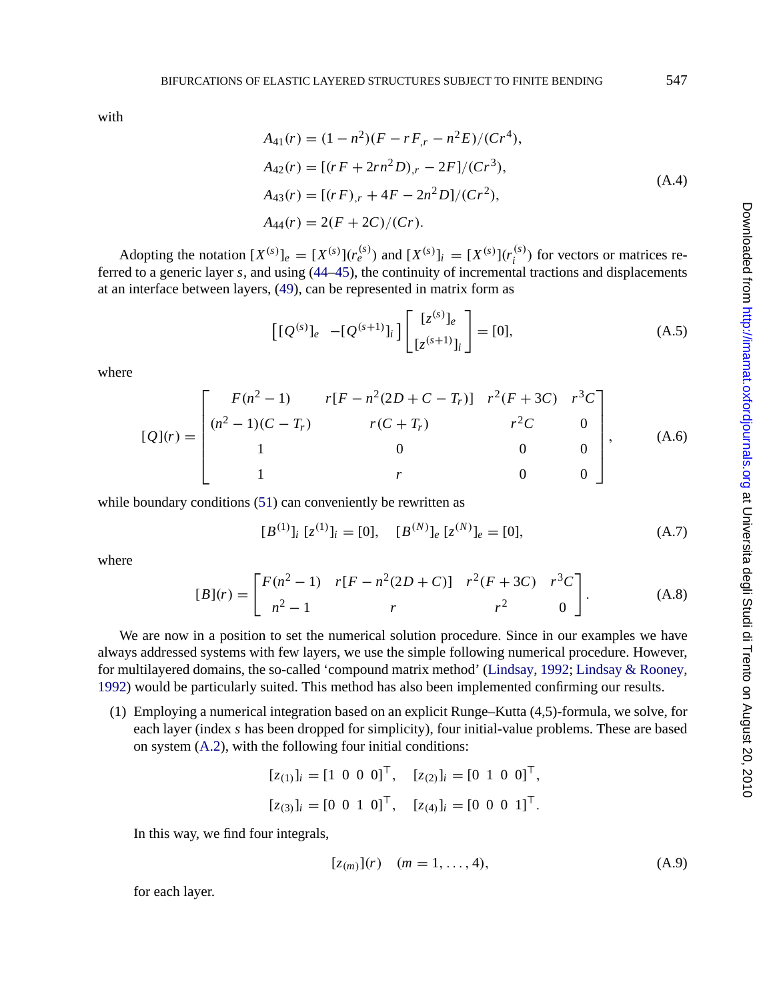with

$$
A_{41}(r) = (1 - n^2)(F - rF_{,r} - n^2E)/(Cr^4),
$$
  
\n
$$
A_{42}(r) = [(rF + 2rn^2D)_{,r} - 2F]/(Cr^3),
$$
  
\n
$$
A_{43}(r) = [(rF)_{,r} + 4F - 2n^2D]/(Cr^2),
$$
  
\n
$$
A_{44}(r) = 2(F + 2C)/(Cr).
$$
  
\n(A.4)

Adopting the notation  $[X^{(s)}]_e = [X^{(s)}](r_e^{(s)})$  and  $[X^{(s)}]_i = [X^{(s)}](r_i^{(s)})$  for vectors or matrices referred to a generic layer *s*, and using (44–45), the continuity of incremental tractions and displacements at an interface between layers, (49), can be represented in matrix form as

$$
\left[ [Q^{(s)}]_e - [Q^{(s+1)}]_i \right] \begin{bmatrix} [z^{(s)}]_e \\ [z^{(s+1)}]_i \end{bmatrix} = [0], \tag{A.5}
$$

where

$$
[Q](r) = \begin{bmatrix} F(n^2 - 1) & r[F - n^2(2D + C - T_r)] & r^2(F + 3C) & r^3C \\ (n^2 - 1)(C - T_r) & r(C + T_r) & r^2C & 0 \\ 1 & 0 & 0 & 0 \\ 1 & r & 0 & 0 \end{bmatrix},
$$
 (A.6)

while boundary conditions (51) can conveniently be rewritten as

$$
[B^{(1)}]_i \ [z^{(1)}]_i = [0], \quad [B^{(N)}]_e \ [z^{(N)}]_e = [0], \tag{A.7}
$$

[wher](#page-21-0)e

$$
[B](r) = \begin{bmatrix} F(n^2 - 1) & r[F - n^2(2D + C)] & r^2(F + 3C) & r^3C \\ n^2 - 1 & r & r^2 & 0 \end{bmatrix}.
$$
 (A.8)

We are now in a position to set the numerical solution procedure. Since in our examples we have always addressed systems with few layers, we use the simple following numerical procedure. However, for multilayered domains, the so-called 'compound matrix method' (Lindsay, 1992; Lindsay & Rooney, 1992) would be particularly suited. This method has also been implemented confirming our results.

(1) Employing a numerical integration based on an explicit Runge–Kutta (4,5)-formula, we solve, for each layer (index *s* has been dropped for simplicity), four initial-value problems. These are based on system (A.2), with the following four initial conditions:

$$
[z_{(1)}]_i = [1 \ 0 \ 0 \ 0]^{\top}, \quad [z_{(2)}]_i = [0 \ 1 \ 0 \ 0]^{\top},
$$

$$
[z_{(3)}]_i = [0 \ 0 \ 1 \ 0]^\top, \quad [z_{(4)}]_i = [0 \ 0 \ 0 \ 1]^\top.
$$

In this way, we find four integrals,

$$
[z_{(m)}](r) \quad (m = 1, ..., 4), \tag{A.9}
$$

for each layer.